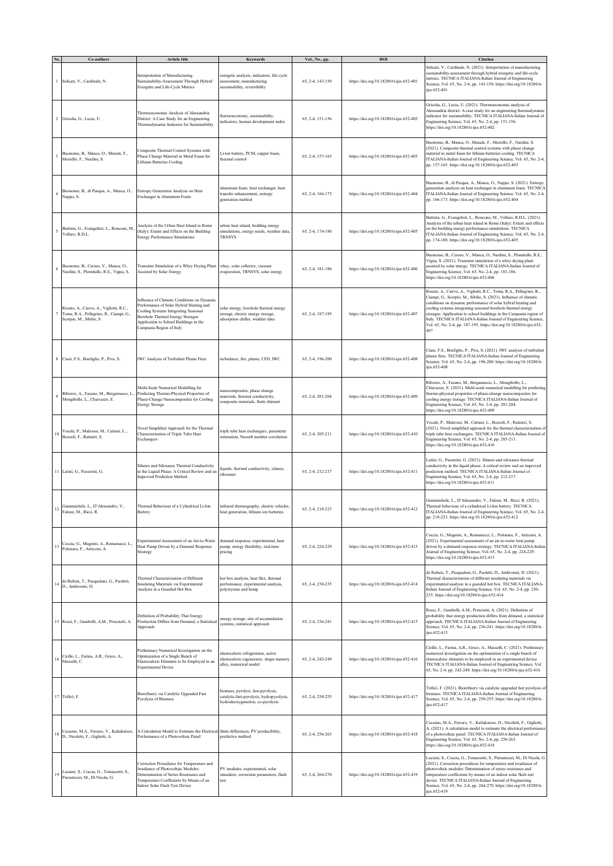|                         | Co-authors                                                                                                      | Article title                                                                                                                                                                                                                             | Keywords                                                                                                            | Vol., No., pp.   | DOI                                      | Citation                                                                                                                                                                                                                                                                                                                                                                                                                                                                                             |
|-------------------------|-----------------------------------------------------------------------------------------------------------------|-------------------------------------------------------------------------------------------------------------------------------------------------------------------------------------------------------------------------------------------|---------------------------------------------------------------------------------------------------------------------|------------------|------------------------------------------|------------------------------------------------------------------------------------------------------------------------------------------------------------------------------------------------------------------------------------------------------------------------------------------------------------------------------------------------------------------------------------------------------------------------------------------------------------------------------------------------------|
|                         | Selicati, V., Cardinale, N.                                                                                     | Interpretation of Manufacturing<br>Sustainability-Assessment Through Hybrid<br>Exergetic and Life-Cycle Metrics                                                                                                                           | exergetic analysis, indicators, life cycle<br>ssessment, manufacturing<br>sustainability, reversibility             | 65, 2-4, 143-150 | https://doi.org/10.18280/ti-ijes.652-401 | Selicati, V., Cardinale, N. (2021). Interpretation of manufacturing<br>sustainability-assessment through hybrid exergetic and life-cycle<br>metrics. TECNICA ITALIANA-Italian Journal of Engineering<br>Science, Vol. 65, No. 2-4, pp. 143-150. https://doi.org/10.18280/ti-<br>ijes.652-401                                                                                                                                                                                                         |
| $\overline{\mathbf{c}}$ | Grisolia, G., Lucia, U.                                                                                         | Thermoeconomic Analysis of Alessandria<br>District: A Case Study for an Engineering<br>Thermodynamic Indicator for Sustainability                                                                                                         | hermoeconomy, sustainability,<br>indicators, human development index                                                | 65, 2-4, 151-156 | https://doi.org/10.18280/ti-ijes.652-402 | Grisolia, G., Lucia, U. (2021). Thermoeconomic analysis of<br>Alessandria district: A case study for an engineering thermodynamic<br>indicator for sustainability. TECNICA ITALIANA-Italian Journal of<br>Engineering Science, Vol. 65, No. 2-4, pp. 151-156.<br>https://doi.org/10.18280/ti-ijes.652-402                                                                                                                                                                                            |
|                         | Buonomo, B., Manca, O., Menale, F.,<br>Moriello, F., Nardini, S.                                                | Composite Thermal Control Systems with<br>Phase Change Material in Metal Foam for<br><b>Lithium Batteries Cooling</b>                                                                                                                     | .i-ion battery, PCM, copper foam,<br>thermal control                                                                | 65, 2-4, 157-165 | https://doi.org/10.18280/ti-ijes.652-403 | Buonomo, B., Manca, O., Menale, F., Moriello, F., Nardini, S.<br>(2021). Composite thermal control systems with phase change<br>material in metal foam for lithium batteries cooling. TECNICA<br>ITALIANA-Italian Journal of Engineering Science, Vol. 65, No. 2-4,<br>pp. 157-165. https://doi.org/10.18280/ti-ijes.652-403                                                                                                                                                                         |
|                         | Buonomo, B., di Pasqua, A., Manca, O.,<br>Nappo, S.                                                             | Entropy Generation Analysis on Heat<br>Exchanger in Aluminum Foam                                                                                                                                                                         | iluminum foam, heat exchanger, heat<br>transfer enhancement, entropy<br>generation method                           | 65, 2-4, 166-173 | https://doi.org/10.18280/ti-ijes.652-404 | Buonomo, B., di Pasqua, A., Manca, O., Nappo, S. (2021). Entropy<br>generation analysis on heat exchanger in aluminum foam. TECNICA<br>ITALIANA-Italian Journal of Engineering Science, Vol. 65, No. 2-4,<br>pp. 166-173. https://doi.org/10.18280/ti-ijes.652-404                                                                                                                                                                                                                                   |
|                         | Battista, G., Evangelisti, L., Roncone, M.,<br>Vollaro, R.D.L.                                                  | Analysis of the Urban Heat Island in Rome<br>(Italy): Extent and Effects on the Building<br><b>Energy Performance Simulations</b>                                                                                                         | arban heat island, building energy<br>simulations, energy needs, weather data,<br><b>TRNSYS</b>                     | 65, 2-4, 174-180 | https://doi.org/10.18280/ti-ijes.652-405 | Battista, G., Evangelisti, L., Roncone, M., Vollaro, R.D.L. (2021).<br>Analysis of the urban heat island in Rome (Italy): Extent and effects<br>on the building energy performance simulations. TECNICA<br>ITALIANA-Italian Journal of Engineering Science, Vol. 65, No. 2-4,<br>pp. 174-180. https://doi.org/10.18280/ti-ijes.652-405                                                                                                                                                               |
|                         | Buonomo, B., Ceraso, V., Manca, O.,<br>Nardini, S., Plomitallo, R.E., Vigna, S.                                 | Transient Simulation of a Whey Drying Plant<br>Assisted by Solar Energy                                                                                                                                                                   | whey, solar collector, vacuum<br>evaporation, TRNSYS, solar energy                                                  | 65, 2-4, 181-186 | https://doi.org/10.18280/ti-ijes.652-406 | Buonomo, B., Ceraso, V., Manca, O., Nardini, S., Plomitallo, R.E.,<br>Vigna, S. (2021). Transient simulation of a whey drying plant<br>assisted by solar energy. TECNICA ITALIANA-Italian Journal of<br>Engineering Science, Vol. 65, No. 2-4, pp. 181-186.<br>https://doi.org/10.18280/ti-ijes.652-406                                                                                                                                                                                              |
|                         | Rosato, A., Ciervo, A., Vigliotti, R.C.,<br>Toma, R.A., Pellegrino, R., Ciampi, G.,<br>Scorpio, M., Sibilio, S. | Influence of Climatic Conditions on Dynamic<br>Performance of Solar Hybrid Heating and<br>Cooling Systems Integrating Seasonal<br>Borehole Thermal Energy Storages:<br>Application to School Buildings in the<br>Campania Region of Italy | solar energy, borehole thermal energy<br>storage, electric energy storage,<br>adsorption chiller, weather data      | 65, 2-4, 187-195 | https://doi.org/10.18280/ti-ijes.652-407 | Rosato, A., Ciervo, A., Vigliotti, R.C., Toma, R.A., Pellegrino, R.,<br>Ciampi, G., Scorpio, M., Sibilio, S. (2021). Influence of climatic<br>conditions on dynamic performance of solar hybrid heating and<br>cooling systems integrating seasonal borehole thermal energy<br>storages: Application to school buildings in the Campania region of<br>Italy. TECNICA ITALIANA-Italian Journal of Engineering Science,<br>Vol. 65, No. 2-4, pp. 187-195. https://doi.org/10.18280/ti-ijes.652-<br>407 |
|                         | Ciani, F.S., Bonfiglio, P., Piva, S.                                                                            | IWC Analysis of Turbulent Plume Fires                                                                                                                                                                                                     | turbulence, fire, plume, CFD, IWC                                                                                   | 65, 2-4, 196-200 | https://doi.org/10.18280/ti-ijes.652-408 | Ciani, F.S., Bonfiglio, P., Piva, S. (2021). IWC analysis of turbulent<br>plume fires. TECNICA ITALIANA-Italian Journal of Engineering<br>Science, Vol. 65, No. 2-4, pp. 196-200. https://doi.org/10.18280/ti-<br>iies.652-408                                                                                                                                                                                                                                                                       |
|                         | Ribezzo, A., Fasano, M., Bergamasco, L<br>Mongibello, L., Chiavazzo, E.                                         | Multi-Scale Numerical Modelling for<br>Predicting Thermo-Physical Properties of<br>Phase-Change Nanocomposites for Cooling<br><b>Energy Storage</b>                                                                                       | anocomposites, phase change<br>naterials, thermal conductivity.<br>composite materials, finite element              | 65, 2-4, 201-204 | https://doi.org/10.18280/ti-ijes.652-409 | Ribezzo, A., Fasano, M., Bergamasco, L., Mongibello, L.,<br>Chiavazzo, E. (2021). Multi-scale numerical modelling for predicting<br>thermo-physical properties of phase-change nanocomposites for<br>cooling energy storage. TECNICA ITALIANA-Italian Journal of<br>Engineering Science, Vol. 65, No. 2-4, pp. 201-204.<br>https://doi.org/10.18280/ti-ijes.652-409                                                                                                                                  |
| 10                      | Vocale, P., Malavasi, M., Cattani, L.,<br>Bozzoli, F., Rainieri, S.                                             | Novel Simplified Approach for the Thermal<br>Characterisation of Triple Tube Heat<br>Exchangers                                                                                                                                           | riple tube heat exchangers, parameter<br>estimation, Nusselt number correlation                                     | 65, 2-4, 205-211 | https://doi.org/10.18280/ti-ijes.652-410 | Vocale, P., Malavasi, M., Cattani, L., Bozzoli, F., Rainieri, S.<br>(2021). Novel simplified approach for the thermal characterisation of<br>triple tube heat exchangers. TECNICA ITALIANA-Italian Journal of<br>Engineering Science, Vol. 65, No. 2-4, pp. 205-211.<br>https://doi.org/10.18280/ti-ijes.652-410                                                                                                                                                                                     |
|                         | 11 Latini, G., Passerini, G.                                                                                    | Silanes and Siloxanes Thermal Conductivity<br>in the Liquid Phase: A Critical Review and an<br><b>Improved Prediction Method</b>                                                                                                          | iquids, thermal conductivity, silanes,<br>siloxanes                                                                 | 65, 2-4, 212-217 | https://doi.org/10.18280/ti-ijes.652-411 | Latini, G., Passerini, G. (2021). Silanes and siloxanes thermal<br>conductivity in the liquid phase: A critical review and an improved<br>prediction method. TECNICA ITALIANA-Italian Journal of<br>Engineering Science, Vol. 65, No. 2-4, pp. 212-217.<br>https://doi.org/10.18280/ti-ijes.652-411                                                                                                                                                                                                  |
| 12                      | Giammichele, L., D'Alessandro, V.,<br>Falone, M., Ricci, R.                                                     | Thermal Behaviour of a Cylindrical Li-Ion<br>Battery                                                                                                                                                                                      | infrared thermography, electric vehicles,<br>heat generation, lithium ion batteries                                 | 65, 2-4, 218-223 | https://doi.org/10.18280/ti-ijes.652-412 | Giammichele, L., D'Alessandro, V., Falone, M., Ricci, R. (2021).<br>Thermal behaviour of a cylindrical Li-Ion battery. TECNICA<br>ITALIANA-Italian Journal of Engineering Science, Vol. 65, No. 2-4,<br>pp. 218-223. https://doi.org/10.18280/ti-ijes.652-412                                                                                                                                                                                                                                        |
| 13                      | Coccia, G., Mugnini, A., Romanucci, L.,<br>Polonara, F., Arteconi, A.                                           | Experimental Assessment of an Air-to-Water<br>Heat Pump Driven by a Demand Response<br>Strategy                                                                                                                                           | demand response, experimental, heat<br>pump, energy flexibility, real-time<br>pricing                               | 65, 2-4, 224-229 | https://doi.org/10.18280/ti-ijes.652-413 | Coccia, G., Mugnini, A., Romanucci, L., Polonara, F., Arteconi, A.<br>(2021). Experimental assessment of an air-to-water heat pump<br>driven by a demand response strategy. TECNICA ITALIANA-Italian<br>Journal of Engineering Science, Vol. 65, No. 2-4, pp. 224-229.<br>https://doi.org/10.18280/ti-ijes.652-413                                                                                                                                                                                   |
| 14                      | de Rubeis, T., Pasqualoni, G., Paoletti,<br>D., Ambrosini, D.                                                   | Thermal Characterization of Different<br>Insulating Materials via Experimental<br>Analysis in a Guarded Hot Box                                                                                                                           | hot box analysis, heat flux, thermal<br>performance, experimental analysis,<br>polystyrene and hemp                 | 65, 2-4, 230-235 | https://doi.org/10.18280/ti-ijes.652-414 | de Rubeis, T., Pasqualoni, G., Paoletti, D., Ambrosini, D. (2021).<br>Thermal characterization of different insulating materials via<br>experimental analysis in a guarded hot box. TECNICA ITALIANA-<br>Italian Journal of Engineering Science, Vol. 65, No. 2-4, pp. 230-<br>235. https://doi.org/10.18280/ti-ijes.652-414                                                                                                                                                                         |
|                         | 15 Rossi, F., Gambelli, A.M., Presciutti, A.                                                                    | Definition of Probability That Energy<br>Production Differs from Demand, a Statistical<br>Approach                                                                                                                                        | energy storage, size of accumulation<br>systems, statistical approach                                               | 65, 2-4, 236-241 | https://doi.org/10.18280/ti-ijes.652-415 | Rossi, F., Gambelli, A.M., Presciutti, A. (2021). Definition of<br>probability that energy production differs from demand, a statistical<br>approach. TECNICA ITALIANA-Italian Journal of Engineering<br>Science, Vol. 65, No. 2-4, pp. 236-241. https://doi.org/10.18280/ti-<br>ijes.652-415                                                                                                                                                                                                        |
| 16                      | Cirillo, L., Farina, A.R., Greco, A.,<br>Masselli, C.                                                           | Preliminary Numerical Investigation on the<br>Optimization of a Single Bunch of<br>Elastocaloric Elements to be Employed in an<br><b>Experimental Device</b>                                                                              | elastocaloric refrigeration, active<br>elastocaloric regenerator, shape memory<br>alloy, numerical model            | 65, 2-4, 242-249 | https://doi.org/10.18280/ti-ijes.652-416 | Cirillo, L., Farina, A.R., Greco, A., Masselli, C. (2021). Preliminary<br>numerical investigation on the optimization of a single bunch of<br>elastocaloric elements to be employed in an experimental device.<br>TECNICA ITALIANA-Italian Journal of Engineering Science, Vol.<br>65, No. 2-4, pp. 242-249. https://doi.org/10.18280/ti-ijes.652-416                                                                                                                                                |
|                         | 17 Trifirò, F.                                                                                                  | Biorefinery via Catalytic Upgraded Fast<br>Pyrolysis of Biomass                                                                                                                                                                           | biomass, pyrolysi, fast-pyrolysis,<br>catalytic-fast-pyrolysis, hydropyrolysis,<br>hydrodeoxygenation, co-pyrolysis | 65, 2-4, 250-255 | https://doi.org/10.18280/ti-ijes.652-417 | Trifirò, F. (2021). Biorefinery via catalytic upgraded fast pyrolysis of<br>biomass. TECNICA ITALIANA-Italian Journal of Engineering<br>Science, Vol. 65, No. 2-4, pp. 250-255. https://doi.org/10.18280/ti-<br>ijes.652-417                                                                                                                                                                                                                                                                         |
| 18                      | Cucumo, M.A., Ferraro, V., Kaliakatsos,<br>D., Nicoletti, F., Gigliotti, A.                                     | A Calculation Model to Estimate the Electrical finite differences, PV producibility,<br>Performance of a Photovoltaic Panel                                                                                                               | predictive method                                                                                                   | 65, 2-4, 256-263 | https://doi.org/10.18280/ti-ijes.652-418 | Cucumo, M.A., Ferraro, V., Kaliakatsos, D., Nicoletti, F., Gigliotti,<br>A. (2021). A calculation model to estimate the electrical performance<br>of a photovoltaic panel. TECNICA ITALIANA-Italian Journal of<br>Engineering Science, Vol. 65, No. 2-4, pp. 256-263.<br>https://doi.org/10.18280/ti-ijes.652-418                                                                                                                                                                                    |
| 19                      | Luciani, S., Coccia, G., Tomassetti, S.,<br>Pierantozzi, M., Di Nicola, G.                                      | Correction Procedures for Temperature and<br>Irradiance of Photovoltaic Modules:<br>Determination of Series Resistance and<br>Temperature Coefficients by Means of an<br>Indoor Solar Flash Test Device                                   | PV modules, experimental, solar<br>simulator, correction parameters, flash<br>test                                  | 65, 2-4, 264-270 | https://doi.org/10.18280/ti-ijes.652-419 | Luciani, S., Coccia, G., Tomassetti, S., Pierantozzi, M., Di Nicola, G.<br>(2021). Correction procedures for temperature and irradiance of<br>photovoltaic modules: Determination of series resistance and<br>temperature coefficients by means of an indoor solar flash test<br>device. TECNICA ITALIANA-Italian Journal of Engineering<br>Science, Vol. 65, No. 2-4, pp. 264-270. https://doi.org/10.18280/ti-<br>ijes.652-419                                                                     |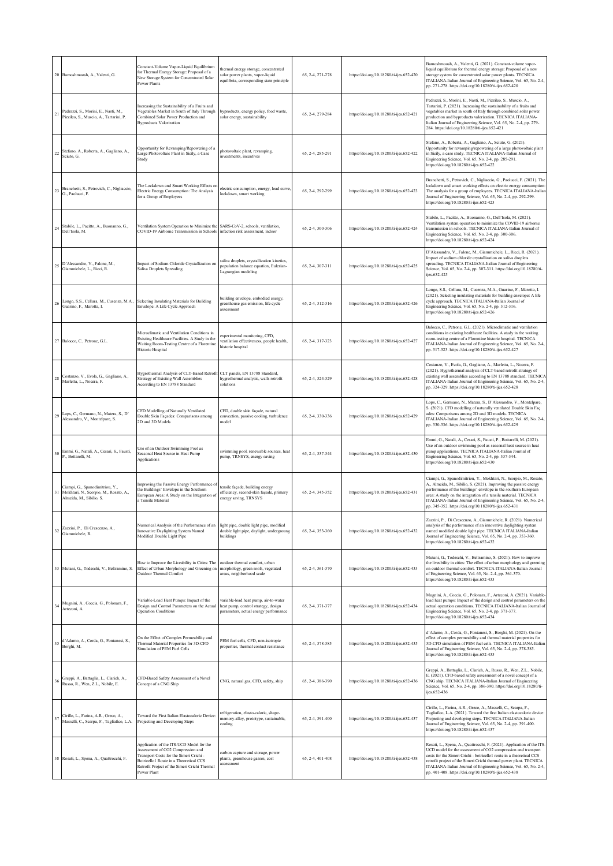|    | 20 Bamoshmoosh, A., Valenti, G.                                                                       | Constant-Volume Vapor-Liquid Equilibrium<br>for Thermal Energy Storage: Proposal of a<br>New Storage System for Concentrated Solar<br>Power Plants                                                                                 | thermal energy storage, concentrated<br>solar power plants, vapor-liquid<br>equilibria, corresponding state principle | 65, 2-4, 271-278 | https://doi.org/10.18280/ti-ijes.652-420 | Bamoshmoosh, A., Valenti, G. (2021). Constant-volume vapor-<br>liquid equilibrium for thermal energy storage: Proposal of a new<br>storage system for concentrated solar power plants. TECNICA<br>ITALIANA-Italian Journal of Engineering Science, Vol. 65, No. 2-4,<br>pp. 271-278. https://doi.org/10.18280/ti-ijes.652-420                                                                                        |
|----|-------------------------------------------------------------------------------------------------------|------------------------------------------------------------------------------------------------------------------------------------------------------------------------------------------------------------------------------------|-----------------------------------------------------------------------------------------------------------------------|------------------|------------------------------------------|----------------------------------------------------------------------------------------------------------------------------------------------------------------------------------------------------------------------------------------------------------------------------------------------------------------------------------------------------------------------------------------------------------------------|
| 21 | Pedrazzi, S., Morini, E., Nasti, M.,<br>Pizzileo, S., Muscio, A., Tartarini, P.                       | Increasing the Sustainability of a Fruits and<br>Vegetables Market in South of Italy Through<br>Combined Solar Power Production and<br><b>Byproducts Valorization</b>                                                              | byproducts, energy policy, food waste,<br>solar energy, sustainability                                                | 65, 2-4, 279-284 | https://doi.org/10.18280/ti-ijes.652-421 | Pedrazzi, S., Morini, E., Nasti, M., Pizzileo, S., Muscio, A.,<br>Tartarini, P. (2021). Increasing the sustainability of a fruits and<br>egetables market in south of Italy through combined solar power<br>production and byproducts valorization. TECNICA ITALIANA-<br>talian Journal of Engineering Science, Vol. 65, No. 2-4, pp. 279-<br>284. https://doi.org/10.18280/ti-ijes.652-421                          |
| 22 | Stefano, A., Roberta, A., Gagliano, A.,<br>Sciuto, G.                                                 | Opportunity for Revamping/Repowering of a<br>Large Photovoltaic Plant in Sicily, a Case<br>Study                                                                                                                                   | photovoltaic plant, revamping,<br>investments, incentives                                                             | 65, 2-4, 285-291 | https://doi.org/10.18280/ti-ijes.652-422 | Stefano, A., Roberta, A., Gagliano, A., Sciuto, G. (2021).<br>Opportunity for revamping/repowering of a large photovoltaic plant<br>in Sicily, a case study. TECNICA ITALIANA-Italian Journal of<br>Engineering Science, Vol. 65, No. 2-4, pp. 285-291.<br>https://doi.org/10.18280/ti-ijes.652-422                                                                                                                  |
| 23 | Branchetti, S., Petrovich, C., Nigliaccio,<br>G., Paolucci, F.                                        | The Lockdown and Smart Working Effects on<br>Electric Energy Consumption: The Analysis<br>for a Group of Employees                                                                                                                 | electric consumption, energy, load curve,<br>lockdown, smart working                                                  | 65, 2-4, 292-299 | https://doi.org/10.18280/ti-ijes.652-423 | Branchetti, S., Petrovich, C., Nigliaccio, G., Paolucci, F. (2021). The<br>lockdown and smart working effects on electric energy consumption:<br>The analysis for a group of employees. TECNICA ITALIANA-Italian<br>lournal of Engineering Science, Vol. 65, No. 2-4, pp. 292-299.<br>https://doi.org/10.18280/ti-ijes.652-423                                                                                       |
| 24 | Stabile, L., Pacitto, A., Buonanno, G.,<br>Dell'Isola, M.                                             | Ventilation System Operation to Minimize the SARS-CoV-2, schools, ventilation,<br>COVID-19 Airborne Transmission in Schools infection risk assessment, indoor                                                                      |                                                                                                                       | 65, 2-4, 300-306 | https://doi.org/10.18280/ti-ijes.652-424 | Stabile, L., Pacitto, A., Buonanno, G., Dell'Isola, M. (2021).<br>/entilation system operation to minimize the COVID-19 airborne<br>transmission in schools. TECNICA ITALIANA-Italian Journal of<br>Engineering Science, Vol. 65, No. 2-4, pp. 300-306.<br>https://doi.org/10.18280/ti-ijes.652-424                                                                                                                  |
| 25 | D'Alessandro, V., Falone, M.,<br>Giammichele, L., Ricci, R.                                           | Impact of Sodium Chloride Crystallization on<br><b>Saliva Droplets Spreading</b>                                                                                                                                                   | saliva droplets, crystallization kinetics,<br>population balance equation, Eulerian-<br>Lagrangian modeling           | 65, 2-4, 307-311 | https://doi.org/10.18280/ti-ijes.652-425 | D'Alessandro, V., Falone, M., Giammichele, L., Ricci, R. (2021).<br>Impact of sodium chloride crystallization on saliva droplets<br>spreading. TECNICA ITALIANA-Italian Journal of Engineering<br>Science, Vol. 65, No. 2-4, pp. 307-311. https://doi.org/10.18280/ti-<br>ijes 652-425                                                                                                                               |
| 26 | Longo, S.S., Cellura, M., Cusenza, M.A.,<br>Guarino, F., Marotta, I.                                  | Selecting Insulating Materials for Building<br>Envelope: A Life Cycle Approach                                                                                                                                                     | building envelope, embodied energy,<br>greenhouse gas emission, life cycle<br>assessment                              | 65, 2-4, 312-316 | https://doi.org/10.18280/ti-ijes.652-426 | .ongo, S.S., Cellura, M., Cusenza, M.A., Guarino, F., Marotta, I.<br>(2021). Selecting insulating materials for building envelope: A life<br>cycle approach. TECNICA ITALIANA-Italian Journal of<br>Engineering Science, Vol. 65, No. 2-4, pp. 312-316.<br>https://doi.org/10.18280/ti-ijes.652-426                                                                                                                  |
|    | 27 Balocco, C., Petrone, G.L.                                                                         | Microclimatic and Ventilation Conditions in<br>Existing Healthcare Facilities. A Study in the<br>Waiting Room-Testing Centre of a Florentine<br>Historic Hospital                                                                  | xperimental monitoring, CFD,<br>ventilation effectiveness, people health,<br>historic hospital                        | 65, 2-4, 317-323 | https://doi.org/10.18280/ti-ijes.652-427 | Balocco, C., Petrone, G.L. (2021). Microclimatic and ventilation<br>onditions in existing healthcare facilities. A study in the waiting<br>com-testing centre of a Florentine historic hospital. TECNICA<br>ITALIANA-Italian Journal of Engineering Science, Vol. 65, No. 2-4,<br>pp. 317-323. https://doi.org/10.18280/ti-ijes.652-427                                                                              |
| 28 | Costanzo, V., Evola, G., Gagliano, A.,<br>Marletta, L., Nocera, F.                                    | Hygrothermal Analysis of CLT-Based Retrofit<br>Strategy of Existing Wall Assemblies<br>According to EN 13788 Standard                                                                                                              | CLT panels, EN 13788 Standard,<br>hygrothermal analysis, walls retrofit<br>solutions                                  | 65, 2-4, 324-329 | https://doi.org/10.18280/ti-ijes.652-428 | Costanzo, V., Evola, G., Gagliano, A., Marletta, L., Nocera, F.<br>(2021). Hygrothermal analysis of CLT-based retrofit strategy of<br>existing wall assemblies according to EN 13788 standard. TECNICA<br>ITALIANA-Italian Journal of Engineering Science, Vol. 65, No. 2-4,<br>pp. 324-329. https://doi.org/10.18280/ti-ijes.652-428                                                                                |
| 29 | Lops, C., Germano, N., Matera, S., D'<br>Alessandro, V., Montelpare, S.                               | CFD Modelling of Naturally Ventilated<br>Double Skin Façades: Comparisons among<br>2D and 3D Models                                                                                                                                | CFD, double skin façade, natural<br>convection, passive cooling, turbulence<br>model                                  | 65, 2-4, 330-336 | https://doi.org/10.18280/ti-ijes.652-429 | .ops, C., Germano, N., Matera, S., D'Alessandro, V., Montelpare,<br>S. (2021). CFD modelling of naturally ventilated Double Skin Faç<br>des: Comparisons among 2D and 3D models. TECNICA<br>ITALIANA-Italian Journal of Engineering Science, Vol. 65, No. 2-4,<br>pp. 330-336. https://doi.org/10.18280/ti-ijes.652-429                                                                                              |
| 30 | Emmi, G., Natali, A., Cesari, S., Fausti,<br>P., Bottarelli, M.                                       | Use of an Outdoor Swimming Pool as<br>Seasonal Heat Source in Heat Pump<br><b>Applications</b>                                                                                                                                     | swimming pool, renewable sources, heat<br>pump, TRNSYS, energy saving                                                 | 65, 2-4, 337-344 | https://doi.org/10.18280/ti-ijes.652-430 | Emmi, G., Natali, A., Cesari, S., Fausti, P., Bottarelli, M. (2021).<br>Jse of an outdoor swimming pool as seasonal heat source in heat<br>pump applications. TECNICA ITALIANA-Italian Journal of<br>Engineering Science, Vol. 65, No. 2-4, pp. 337-344.<br>https://doi.org/10.18280/ti-ijes.652-430                                                                                                                 |
| 31 | Ciampi, G., Spanodimitriou, Y.,<br>Mokhtari, N., Scorpio, M., Rosato, A.,<br>Almeida, M., Sibilio, S. | Improving the Passive Energy Performance of<br>the Buildings' Envelope in the Southern<br>European Area: A Study on the Integration of<br>a Tensile Material                                                                       | ensile façade, building energy<br>efficiency, second-skin façade, primary<br>energy saving, TRNSYS                    | 65, 2-4, 345-352 | https://doi.org/10.18280/ti-ijes.652-431 | Ciampi, G., Spanodimitriou, Y., Mokhtari, N., Scorpio, M., Rosato,<br>A., Almeida, M., Sibilio, S. (2021). Improving the passive energy<br>performance of the buildings' envelope in the southern European<br>area: A study on the integration of a tensile material. TECNICA<br>ITALIANA-Italian Journal of Engineering Science, Vol. 65, No. 2-4,<br>pp. 345-352. https://doi.org/10.18280/ti-ijes.652-431         |
| 32 | Zazzini, P., Di Crescenzo, A.,<br>Giammichele, R.                                                     | Numerical Analysis of the Performance of an<br>Innovative Daylighting System Named<br>Modified Double Light Pipe                                                                                                                   | light pipe, double light pipe, modified<br>double light pipe, daylight, undergroung<br>buildings                      | 65, 2-4, 353-360 | https://doi.org/10.18280/ti-ijes.652-432 | Zazzini, P., Di Crescenzo, A., Giammichele, R. (2021). Numerical<br>inalysis of the performance of an innovative daylighting system<br>named modified double light pipe. TECNICA ITALIANA-Italian<br>lournal of Engineering Science, Vol. 65, No. 2-4, pp. 353-360.<br>https://doi.org/10.18280/ti-ijes.652-432                                                                                                      |
|    | 33 Mutani, G., Todeschi, V., Beltramino, S.                                                           | How to Improve the Liveability in Cities: The<br>Effect of Urban Morphology and Greening on<br>Outdoor Thermal Comfort                                                                                                             | outdoor thermal comfort, urban<br>morphology, green roofs, vegetated<br>areas, neighborhood scale                     | 65, 2-4, 361-370 | https://doi.org/10.18280/ti-ijes.652-433 | Mutani, G., Todeschi, V., Beltramino, S. (2021). How to improve<br>the liveability in cities: The effect of urban morphology and greening<br>on outdoor thermal comfort. TECNICA ITALIANA-Italian Journal<br>of Engineering Science, Vol. 65, No. 2-4, pp. 361-370.<br>https://doi.org/10.18280/ti-ijes.652-433                                                                                                      |
| 34 | Mugnini, A., Coccia, G., Polonara, F.,<br>Arteconi, A.                                                | Variable-Load Heat Pumps: Impact of the<br>Design and Control Parameters on the Actual<br><b>Operation Conditions</b>                                                                                                              | variable-load heat pump, air-to-water<br>heat pump, control strategy, design<br>parameters, actual energy performance | 65, 2-4, 371-377 | https://doi.org/10.18280/ti-ijes.652-434 | Mugnini, A., Coccia, G., Polonara, F., Arteconi, A. (2021). Variable-<br>load heat pumps: Impact of the design and control parameters on the<br>actual operation conditions. TECNICA ITALIANA-Italian Journal of<br>Engineering Science, Vol. 65, No. 2-4, pp. 371-377.<br>https://doi.org/10.18280/ti-ijes.652-434                                                                                                  |
| 35 | d'Adamo, A., Corda, G., Fontanesi, S.,<br>Borghi, M.                                                  | On the Effect of Complex Permeability and<br>Thermal Material Properties for 3D-CFD<br>Simulation of PEM Fuel Cells                                                                                                                | PEM fuel cells, CFD, non-isotropic<br>properties, thermal contact resistance                                          | 65, 2-4, 378-385 | https://doi.org/10.18280/ti-ijes.652-435 | d'Adamo, A., Corda, G., Fontanesi, S., Borghi, M. (2021). On the<br>effect of complex permeability and thermal material properties for<br>3D-CFD simulation of PEM fuel cells. TECNICA ITALIANA-Italian<br>lournal of Engineering Science, Vol. 65, No. 2-4, pp. 378-385.<br>https://doi.org/10.18280/ti-ijes.652-435                                                                                                |
| 36 | Greppi, A., Battaglia, L., Clarich, A.,<br>Russo, R., Wen, Z.L., Nobile, E.                           | CFD-Based Safety Assessment of a Novel<br>Concept of a CNG Ship                                                                                                                                                                    | CNG, natural gas, CFD, safety, ship                                                                                   | 65, 2-4, 386-390 | https://doi.org/10.18280/ti-ijes.652-436 | Greppi, A., Battaglia, L., Clarich, A., Russo, R., Wen, Z.L., Nobile,<br>E. (2021). CFD-based safety assessment of a novel concept of a<br>CNG ship. TECNICA ITALIANA-Italian Journal of Engineering<br>Science, Vol. 65, No. 2-4, pp. 386-390. https://doi.org/10.18280/ti-<br>ijes.652-436                                                                                                                         |
| 37 | Cirillo, L., Farina, A.R., Greco, A.,<br>Masselli, C., Scarpa, F., Tagliafico, L.A.                   | Toward the First Italian Elastocaloric Device:<br>Projecting and Developing Steps                                                                                                                                                  | refrigeration, elasto-caloric, shape-<br>nemory-alloy, prototype, sustainable,<br>cooling                             | 65, 2-4, 391-400 | https://doi.org/10.18280/ti-ijes.652-437 | Cirillo, L., Farina, A.R., Greco, A., Masselli, C., Scarpa, F.,<br>Tagliafico, L.A. (2021). Toward the first Italian elastocaloric device:<br>Projecting and developing steps. TECNICA ITALIANA-Italian<br>lournal of Engineering Science, Vol. 65, No. 2-4, pp. 391-400.<br>https://doi.org/10.18280/ti-ijes.652-437                                                                                                |
|    | 38 Rosati, L., Spena, A., Quattrocchi, F.                                                             | Application of the ITS-UCD Model for the<br>Assessment of CO2 Compression and<br>Transport Costs for the Simeri Crichi -<br>Botricello1 Route in a Theoretical CCS<br>Retrofit Project of the Simeri Crichi Thermal<br>Power Plant | carbon capture and storage, power<br>plants, greenhouse gasses, cost<br>issessment                                    | 65, 2-4, 401-408 | https://doi.org/10.18280/ti-ijes.652-438 | Rosati, L., Spena, A., Quattrocchi, F. (2021). Application of the ITS-<br>UCD model for the assessment of CO2 compression and transport<br>costs for the Simeri Crichi - botricello1 route in a theoretical CCS<br>retrofit project of the Simeri Crichi thermal power plant. TECNICA<br>ITALIANA-Italian Journal of Engineering Science, Vol. 65, No. 2-4,<br>pp. 401-408. https://doi.org/10.18280/ti-ijes.652-438 |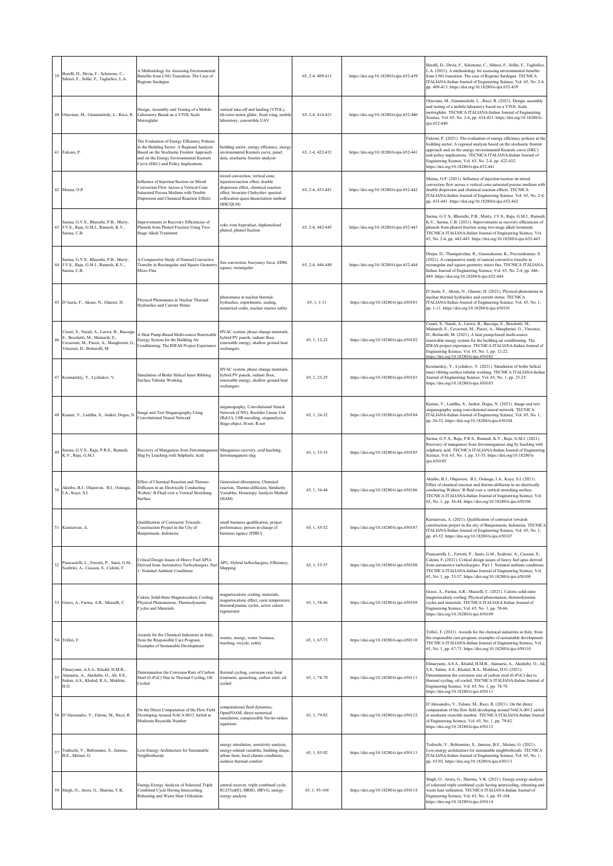| 39 | Borelli, D., Devia, F., Schenone, C.,<br>Silenzi, F., Sollai, F., Tagliafico, L.A.                                                                          | A Methodology for Assessing Environmental<br>Benefits from LNG Transition: The Case of<br>Regione Sardegna                                                                                                                 |                                                                                                                                                                                                            | 65, 2-4, 409-413 | https://doi.org/10.18280/ti-ijes.652-439 | Borelli, D., Devia, F., Schenone, C., Silenzi, F., Sollai, F., Tagliafico,<br>L.A. (2021). A methodology for assessing environmental benefits<br>from LNG transition: The case of Regione Sardegna. TECNICA<br>ITALIANA-Italian Journal of Engineering Science, Vol. 65, No. 2-4,<br>pp. 409-413. https://doi.org/10.18280/ti-ijes.652-439                                                                                       |
|----|-------------------------------------------------------------------------------------------------------------------------------------------------------------|----------------------------------------------------------------------------------------------------------------------------------------------------------------------------------------------------------------------------|------------------------------------------------------------------------------------------------------------------------------------------------------------------------------------------------------------|------------------|------------------------------------------|----------------------------------------------------------------------------------------------------------------------------------------------------------------------------------------------------------------------------------------------------------------------------------------------------------------------------------------------------------------------------------------------------------------------------------|
|    | 40 Ottaviani, M., Giammichele, L., Ricci, R.                                                                                                                | Design, Assembly and Testing of a Mobile<br>Laboratory Based on a VTOL Scale<br>Motorglider                                                                                                                                | vertical take-off and landing (VTOL),<br>tilt-rotor motor glider, fixed wing, mobile<br>laboratory, convertible UAV                                                                                        | 65, 2-4, 414-421 | https://doi.org/10.18280/ti-ijes.652-440 | Ottaviani, M., Giammichele, L., Ricci, R. (2021). Design, assembly<br>and testing of a mobile laboratory based on a VTOL Scale<br>motorglider. TECNICA ITALIANA-Italian Journal of Engineering<br>Science, Vol. 65, No. 2-4, pp. 414-421. https://doi.org/10.18280/ti-<br>ijes.652-440                                                                                                                                           |
|    | 41 Falconi, P.                                                                                                                                              | The Evaluation of Energy Efficiency Policies<br>in the Building Sector: A Regional Analysis<br>Based on the Stochastic Frontier Approach<br>and on the Energy Environmental Kuznets<br>Curve (EKC) and Policy Implications | building sector, energy efficiency, energy<br>environmental Kuznets curve, panel<br>data, stochastic frontier analysis                                                                                     | 65, 2-4, 422-432 | https://doi.org/10.18280/ti-ijes.652-441 | Falconi, P. (2021). The evaluation of energy efficiency policies in the<br>building sector: A regional analysis based on the stochastic frontier<br>approach and on the energy environmental Kuznets curve (EKC)<br>and policy implications. TECNICA ITALIANA-Italian Journal of<br>Engineering Science, Vol. 65, No. 2-4, pp. 422-432.<br>https://doi.org/10.18280/ti-ijes.652-441                                              |
|    | 42 Meena, O.P.                                                                                                                                              | Influence of Injection/Suction on Mixed<br>Convection Flow Across a Vertical Cone<br>Saturated Porous Medium with Double<br>Dispersion and Chemical Reaction Effects                                                       | mixed convection, vertical cone.<br>injection/suction effect, double<br>dispersion effect, chemical reaction<br>effect, bivariate Chebyshev spectral<br>collocation quasi-linearization method<br>(BSCQLM) | 65, 2-4, 433-441 | https://doi.org/10.18280/ti-ijes.652-442 | Meena, O.P. (2021). Influence of injection/suction on mixed<br>convection flow across a vertical cone saturated porous medium with<br>double dispersion and chemical reaction effects. TECNICA<br>ITALIANA-Italian Journal of Engineering Science, Vol. 65, No. 2-4,<br>pp. 433-441. https://doi.org/10.18280/ti-ijes.652-442                                                                                                    |
|    | Sarma, G.V.S., Bharathi, P.B., Murty,<br>43 J.V.S., Raju, G.M.J., Ramesh, K.V.,<br>Sarma, C.B.                                                              | Improvements in Recovery Efficiencies of<br>Phenols from Phenol Fraction Using Two-<br>Stage Alkali Treatment                                                                                                              | coke oven byproduct, dephenolized<br>phenol, phenol fraction                                                                                                                                               | 65, 2-4, 442-445 | https://doi.org/10.18280/ti-ijes.652-443 | Sarma, G.V.S., Bharathi, P.B., Murty, J.V.S., Raju, G.M.J., Ramesh<br>K.V., Sarma, C.B. (2021). Improvements in recovery efficiencies of<br>phenols from phenol fraction using two-stage alkali treatment.<br>TECNICA ITALIANA-Italian Journal of Engineering Science, Vol.<br>65, No. 2-4, pp. 442-445. https://doi.org/10.18280/ti-ijes.652-443                                                                                |
|    | Sarma, G.V.S., Bharathi, P.B., Murty,<br>44 J.V.S., Raju, G.M.J., Ramesh, K.V.,<br>Sarma, C.B.                                                              | A Comparative Study of Natural Convective<br>Transfer in Rectangular and Square Geometry<br>Micro Fins                                                                                                                     | free convection, buoyancy force, EDM,<br>square, rectangular                                                                                                                                               | 65, 2-4, 446-449 | https://doi.org/10.18280/ti-ijes.652-444 | Deepa, D., Thanigaivelan, R., Gunasekaran, K., Praveenkumar, S.<br>(2021). A comparative study of natural convective transfer in<br>rectangular and square geometry micro fins. TECNICA ITALIANA-<br>Italian Journal of Engineering Science, Vol. 65, No. 2-4, pp. 446-<br>449. https://doi.org/10.18280/ti-ijes.652-444                                                                                                         |
|    | 45 D'Auria, F., Aksan, N., Glaeser, H.                                                                                                                      | Physical Phenomena in Nuclear Thermal<br>Hydraulics and Current Status                                                                                                                                                     | phenomena in nuclear thermal-<br>hydraulics, experiments, scaling,<br>numerical codes, nuclear reactor safety                                                                                              | 65, 1, 1-11      | https://doi.org/10.18280/ti-ijes.650101  | D'Auria, F., Aksan, N., Glaeser, H. (2021). Physical phenomena in<br>nuclear thermal hydraulics and current status. TECNICA<br>ITALIANA-Italian Journal of Engineering Science, Vol. 65, No. 1,<br>pp. 1-11. https://doi.org/10.18280/ti-ijes.650101                                                                                                                                                                             |
| 46 | Cesari, S., Natali, A., Larwa, B., Baccega<br>E., Boschetti, M., Mainardi, E.,<br>Cavazzuti, M., Piazzi, A., Mangherini, G.<br>Vincenzi, D., Bottarelli, M. | A Heat Pump-Based Multi-source Renewable<br>Energy System for the Building Air<br>Conditioning: The IDEAS Project Experience                                                                                               | HVAC system, phase change materials,<br>hybrid PV panels, radiant floor,<br>enewable energy, shallow ground heat<br>exchangers                                                                             | 65, 1, 12-22     | https://doi.org/10.18280/ti-ijes.650102  | Cesari, S., Natali, A., Larwa, B., Baccega, E., Boschetti, M.,<br>Mainardi, E., Cavazzuti, M., Piazzi, A., Mangherini, G., Vincenzi,<br>D., Bottarelli, M. (2021). A heat pump-based multi-source<br>renewable energy system for the building air conditioning: The<br>IDEAS project experience. TECNICA ITALIANA-Italian Journal of<br>Engineering Science, Vol. 65, No. 1, pp. 12-22.<br>the://doi.org/10.18280/ti-jies.650102 |
|    | 47 Kosmatskiy, Y., Lychakov, V.                                                                                                                             | Simulation of Boiler Helical Inner Ribbing<br>Surface Tubular Working                                                                                                                                                      | HVAC system, phase change materials,<br>hybrid PV panels, radiant floor,<br>enewable energy, shallow ground heat<br>exchangers                                                                             | 65, 1, 23-25     | https://doi.org/10.18280/ti-ijes.650103  | Kosmatskiy, Y., Lychakov, V. (2021). Simulation of boiler helical<br>inner ribbing surface tubular working. TECNICA ITALIANA-Italian<br>Journal of Engineering Science, Vol. 65, No. 1, pp. 23-25.<br>https://doi.org/10.18280/ti-ijes.650103                                                                                                                                                                                    |
|    | 48 Kumar, V., Laddha, S., Aniket, Dogra, N                                                                                                                  | Image and Text Steganography Using<br>Convolutional Neural Network                                                                                                                                                         | steganography, Convolutional Neural<br>Network (CNN), Rectifier Linear Unit<br>(ReLU), LSB encoding, steganalysis,<br>Stego-object, H-net, R-net                                                           | 65, 1, 26-32     | https://doi.org/10.18280/ti-ijes.650104  | Kumar, V., Laddha, S., Aniket, Dogra, N. (2021). Image and text<br>steganography using convolutional neural network. TECNICA<br>ITALIANA-Italian Journal of Engineering Science, Vol. 65, No. 1,<br>pp. 26-32. https://doi.org/10.18280/ti-ijes.650104                                                                                                                                                                           |
| 49 | Sarma, G.V.S., Raju, P.R.S., Ramesh,<br>K.V., Raju, G.M.J.                                                                                                  | Recovery of Manganese from Ferromanganese<br>Slag by Leaching with Sulphuric Acid                                                                                                                                          | Manganese recovery, acid leaching,<br>ferromanganese slag                                                                                                                                                  | 65, 1, 33-35     | https://doi.org/10.18280/ti-ijes.650105  | Sarma, G.V.S., Raju, P.R.S., Ramesh, K.V., Raju, G.M.J. (2021).<br>Recovery of manganese from ferromanganese slag by leaching with<br>sulphuric acid. TECNICA ITALIANA-Italian Journal of Engineering<br>Science, Vol. 65, No. 1, pp. 33-35. https://doi.org/10.18280/ti-<br>ijes.650105                                                                                                                                         |
| 50 | Akinbo, B.J., Olajuwon, B.I., Osinuga,<br>I.A., Kuye, S.I.                                                                                                  | Effect of Chemical Reaction and Thermo-<br>Diffusion in an Electrically Conducting<br>Walters' B Fluid over a Vertical Stretching<br>Surface                                                                               | Generation\Absorption, Chemical<br>reaction, Thermo-diffusion, Similarity<br>Variables, Homotopy Analysis Method<br>(HAM)                                                                                  | 65, 1, 36-44     | https://doi.org/10.18280/ti-ijes.650106  | Akinbo, B.J., Olajuwon, B.I., Osinuga, I.A., Kuye, S.I. (2021).<br>Effect of chemical reaction and thermo-diffusion in an electrically<br>conducting Walters' B fluid over a vertical stretching surface.<br>TECNICA ITALIANA-Italian Journal of Engineering Science, Vol.<br>65, No. 1, pp. 36-44. https://doi.org/10.18280/ti-ijes.650106                                                                                      |
|    | 51 Kurniawan, A.                                                                                                                                            | Qualification of Contractor Towards<br>Construction Project in the City of<br>Banjarmasin, Indonesia                                                                                                                       | small business qualification, project<br>performance, person in-charge of<br>business agency (PJBU)                                                                                                        | 65, 1, 45-52     | https://doi.org/10.18280/ti-ijes.650107  | Kurniawan, A. (2021). Qualification of contractor towards<br>construction project in the city of Banjarmasin, Indonesia. TECNICA<br>ITALIANA-Italian Journal of Engineering Science, Vol. 65, No. 1,<br>pp. 45-52. https://doi.org/10.18280/ti-ijes.650107                                                                                                                                                                       |
| 52 | Piancastelli, L., Ferretti, P., Santi, G.M.,<br>Scaltrini, A., Cassani, S., Calzini, F.                                                                     | Critical Design Issues of Heavy Fuel APUs<br>Derived from Automotive Turbochargers. Part<br>1: Nominal Ambient Conditions                                                                                                  | APU, Hybrid turbochargers, Efficiency,<br>Mapping                                                                                                                                                          | 65, 1, 53-57     | https://doi.org/10.18280/ti-ijes.650108  | Piancastelli, L., Ferretti, P., Santi, G.M., Scaltrini, A., Cassani, S.,<br>Calzini, F. (2021). Critical design issues of heavy fuel apus derived<br>from automotive turbochargers. Part 1: Nominal ambient conditions<br>TECNICA ITALIANA-Italian Journal of Engineering Science, Vol.<br>65, No. 1, pp. 53-57. https://doi.org/10.18280/ti-ijes.650108                                                                         |
|    | 53 Greco, A., Farina, A.R., Masselli, C.                                                                                                                    | Caloric Solid-State Magnetocaloric Cooling:<br>Physical Phenomenon, Thermodynamic<br><b>Cycles and Materials</b>                                                                                                           | nagnetocaloric cooling, materials,<br>nagnetocaloric effect, curie temperature<br>hermodynamic cycles, active caloric<br>regenerator                                                                       | 65, 1, 58-66     | https://doi.org/10.18280/ti-ijes.650109  | Greco, A., Farina, A.R., Masselli, C. (2021). Caloric solid-state<br>magnetocaloric cooling: Physical phenomenon, thermodynamic<br>cycles and materials. TECNICA ITALIANA-Italian Journal of<br>Engineering Science, Vol. 65, No. 1, pp. 58-66.<br>https://doi.org/10.18280/ti-ijes.650109                                                                                                                                       |
|    | 54 Trifirò, F.                                                                                                                                              | Awards for the Chemical Industries in Italy,<br>from the Responsible Care Program,<br>Examples of Sustainable Development                                                                                                  | vastes, energy, water, biomass,<br>teaching, recycle, safety                                                                                                                                               | 65, 1, 67-73     | https://doi.org/10.18280/ti-ijes.650110  | Trifirò, F. (2021). Awards for the chemical industries in Italy, from<br>the responsible care program, examples of sustainable development.<br>TECNICA ITALIANA-Italian Journal of Engineering Science, Vol.<br>65, No. 1, pp. 67-73. https://doi.org/10.18280/ti-ijes.650110                                                                                                                                                    |
| 55 | Elmaryami, A.S.A., Khalid, H.M.B.,<br>Alamaria, A., Alashebe, O., Ali, S.S.,<br>Salem, A.S., Khaled, R.A., Mokhtar,<br>H.O.                                 | Determination the Corrosion Rate of Carbon<br>Steel (0.4%C) Due to Thermal Cycling, Oil<br>Cooled                                                                                                                          | hermal cycling, corrosion rate, heat<br>reatment, quenching, carbon steel, oil<br>cooled                                                                                                                   | 65, 1, 74-78     | https://doi.org/10.18280/ti-ijes.650111  | Elmaryami, A.S.A., Khalid, H.M.B., Alamaria, A., Alashebe, O., Ali,<br>S.S., Salem, A.S., Khaled, R.A., Mokhtar, H.O. (2021).<br>Determination the corrosion rate of carbon steel (0.4%C) due to<br>thermal cycling, oil cooled. TECNICA ITALIANA-Italian Journal of<br>Engineering Science, Vol. 65, No. 1, pp. 74-78.<br>https://doi.org/10.18280/ti-ijes.650111                                                               |
|    | D'Alessandro, V., Falone, M., Ricci, R.                                                                                                                     | On the Direct Computation of the Flow Field<br>Developing Around NACA 0012 Airfoil at<br>Moderate Reynolds Number                                                                                                          | omputational fluid dynamics,<br>OpenFOAM, direct numerical<br>simulation, compressible Navier-stokes<br>equations                                                                                          | 65, 1, 79-82     | https://doi.org/10.18280/ti-ijes.650112  | D'Alessandro, V., Falone, M., Ricci, R. (2021). On the direct<br>computation of the flow field developing around NACA 0012 airfoil<br>at moderate reynolds number. TECNICA ITALIANA-Italian Journal<br>of Engineering Science, Vol. 65, No. 1, pp. 79-82.<br>https://doi.org/10.18280/ti-ijes.650112                                                                                                                             |
| 57 | Todeschi, V., Beltramino, S., Jamous,<br>B.E., Mutani, G.                                                                                                   | Low-Energy Architecture for Sustainable<br>Neighborhoods                                                                                                                                                                   | energy simulation, sensitivity analysis,<br>energy-related variables, building shape,<br>urban form, local climate conditions,<br>outdoor thermal comfort                                                  | 65, 1, 83-92     | https://doi.org/10.18280/ti-ijes.650113  | Todeschi, V., Beltramino, S., Jamous, B.E., Mutani, G. (2021).<br>Low-energy architecture for sustainable neighborhoods. TECNICA<br>ITALIANA-Italian Journal of Engineering Science, Vol. 65, No. 1,<br>pp. 83-92. https://doi.org/10.18280/ti-ijes.650113                                                                                                                                                                       |
|    | 58 Singh, O., Arora, G., Sharma, V.K.                                                                                                                       | Energy-Exergy Analysis of Solarized Triple<br>Combined Cycle Having Intercooling,<br>Reheating and Waste Heat Utilization                                                                                                  | entral receiver, triple combined cycle,<br>R1233zd(E), HRSG, HRVG, energy-<br>exergy analysis                                                                                                              | 65, 1, 93-104    | https://doi.org/10.18280/ti-ijes.650114  | Singh, O., Arora, G., Sharma, V.K. (2021). Energy-exergy analysis<br>of solarized triple combined cycle having intercooling, reheating and<br>waste heat utilization. TECNICA ITALIANA-Italian Journal of<br>Engineering Science, Vol. 65, No. 1, pp. 93-104.<br>https://doi.org/10.18280/ti-ijes.650114                                                                                                                         |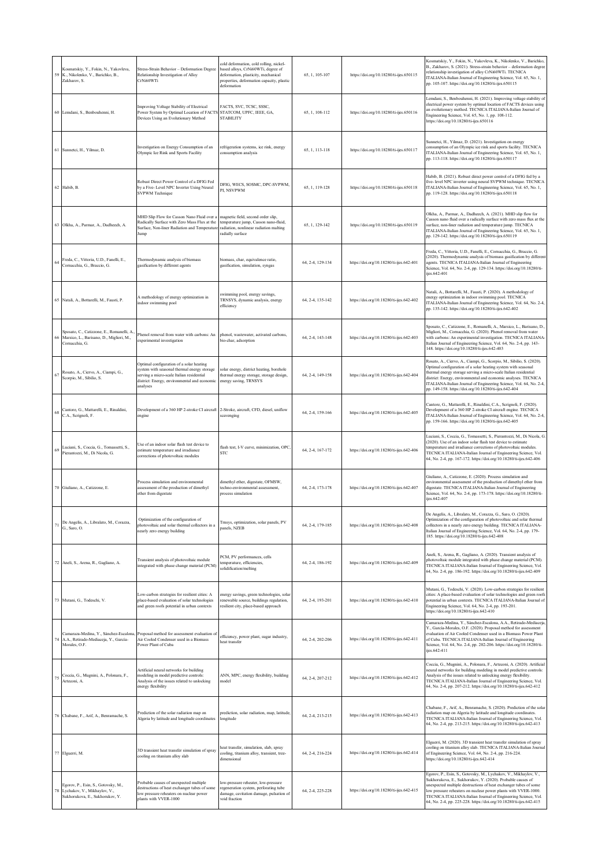| 59 | Kosmatskiy, Y., Fokin, N., Yakovleva,<br>K., Nikolenko, V., Barichko, B.,<br>Zakharov, S.               | Stress-Strain Behavior - Deformation Degree<br>Relationship Investigation of Alloy<br>CrNi60WTi                                                                                                  | cold deformation, cold rolling, nickel-<br>based alloys, CrNi60WTi, degree of<br>deformation, plasticity, mechanical<br>properties, deformation capacity, plastic<br>deformation | 65, 1, 105-107   | https://doi.org/10.18280/ti-ijes.650115  | Kosmatskiy, Y., Fokin, N., Yakovleva, K., Nikolenko, V., Barichko,<br>B., Zakharov, S. (2021). Stress-strain behavior - deformation degree<br>relationship investigation of alloy CrNi60WTi. TECNICA<br>ITALIANA-Italian Journal of Engineering Science, Vol. 65, No. 1,<br>pp. 105-107. https://doi.org/10.18280/ti-ijes.650115                                                                            |
|----|---------------------------------------------------------------------------------------------------------|--------------------------------------------------------------------------------------------------------------------------------------------------------------------------------------------------|----------------------------------------------------------------------------------------------------------------------------------------------------------------------------------|------------------|------------------------------------------|-------------------------------------------------------------------------------------------------------------------------------------------------------------------------------------------------------------------------------------------------------------------------------------------------------------------------------------------------------------------------------------------------------------|
|    | 60 Lemdani, S., Benbouhenni, H.                                                                         | Improving Voltage Stability of Electrical<br>Power System by Optimal Location of FACTS<br>Devices Using an Evolutionary Method                                                                   | FACTS, SVC, TCSC, SSSC,<br>STATCOM, UPFC, IEEE, GA,<br><b>STABILITY</b>                                                                                                          | 65, 1, 108-112   | https://doi.org/10.18280/ti-ijes.650116  | .emdani, S., Benbouhenni, H. (2021). Improving voltage stability of<br>electrical power system by optimal location of FACTS devices using<br>an evolutionary method. TECNICA ITALIANA-Italian Journal of<br>Engineering Science, Vol. 65, No. 1, pp. 108-112.<br>https://doi.org/10.18280/ti-ijes.650116                                                                                                    |
|    | 61 Sunnetci, H., Yilmaz, D.                                                                             | Investigation on Energy Consumption of an<br>Olympic Ice Rink and Sports Facility                                                                                                                | refrigeration systems, ice rink, energy<br>consumption analysis                                                                                                                  | 65, 1, 113-118   | https://doi.org/10.18280/ti-ijes.650117  | Sunnetci, H., Yilmaz, D. (2021). Investigation on energy<br>consumption of an Olympic ice rink and sports facility. TECNICA<br>ITALIANA-Italian Journal of Engineering Science, Vol. 65, No. 1,<br>pp. 113-118. https://doi.org/10.18280/ti-ijes.650117                                                                                                                                                     |
|    | 62 Habib, B.                                                                                            | Robust Direct Power Control of a DFIG Fed<br>by a Five- Level NPC Inverter Using Neural<br><b>SVPWM</b> Technique                                                                                | DFIG, WECS, SOSMC, DPC-SVPWM,<br>PI, NSVPWM                                                                                                                                      | 65, 1, 119-128   | https://doi.org/10.18280/ti-ijes.650118  | Habib, B. (2021). Robust direct power control of a DFIG fed by a<br>five- level NPC inverter using neural SVPWM technique. TECNICA<br>ITALIANA-Italian Journal of Engineering Science, Vol. 65, No. 1,<br>pp. 119-128. https://doi.org/10.18280/ti-ijes.650118                                                                                                                                              |
|    | 63 Olkha, A., Parmar, A., Dadheech, A.                                                                  | MHD Slip Flow for Casson Nano Fluid over a<br>Radically Surface with Zero Mass Flux at the<br>Surface, Non-liner Radiation and Temperature<br>Jump                                               | magnetic field, second order slip,<br>temperature jump, Casson nano-fluid,<br>radiation, nonlinear radiation malting<br>radially surface                                         | 65, 1, 129-142   | https://doi.org/10.18280/ti-ijes.650119  | Olkha, A., Parmar, A., Dadheech, A. (2021). MHD slip flow for<br>Casson nano fluid over a radically surface with zero mass flux at the<br>surface, non-liner radiation and temperature jump. TECNICA<br>ITALIANA-Italian Journal of Engineering Science, Vol. 65, No. 1,<br>pp. 129-142. https://doi.org/10.18280/ti-ijes.650119                                                                            |
| 64 | Freda, C., Vittoria, U.D., Fanelli, E.,<br>Cornacchia, G., Braccio, G.                                  | Thermodynamic analysis of biomass<br>gasification by different agents                                                                                                                            | biomass, char, equivalence ratio,<br>gasification, simulation, syngas                                                                                                            | 64, 2-4, 129-134 | https://doi.org/10.18280/ti-ijes.642-401 | Freda, C., Vittoria, U.D., Fanelli, E., Cornacchia, G., Braccio, G.<br>(2020). Thermodynamic analysis of biomass gasification by different<br>agents. TECNICA ITALIANA-Italian Journal of Engineering<br>Science, Vol. 64, No. 2-4, pp. 129-134. https://doi.org/10.18280/ti-<br>iies.642-401                                                                                                               |
|    | 65 Natali, A., Bottarelli, M., Fausti, P.                                                               | A methodology of energy optimization in<br>indoor swimming pool                                                                                                                                  | swimming pool, energy savings,<br>TRNSYS, dynamic analysis, energy<br>efficiency                                                                                                 | 64, 2-4, 135-142 | https://doi.org/10.18280/ti-ijes.642-402 | Natali, A., Bottarelli, M., Fausti, P. (2020). A methodology of<br>nergy optimization in indoor swimming pool. TECNICA<br>ITALIANA-Italian Journal of Engineering Science, Vol. 64, No. 2-4,<br>pp. 135-142. https://doi.org/10.18280/ti-ijes.642-402                                                                                                                                                       |
| 66 | Sposato, C., Catizzone, E., Romanelli, A.<br>Marsico, L., Barisano, D., Migliori, M.,<br>Cornacchia, G. | Phenol removal from water with carbons: An<br>experimental investigation                                                                                                                         | phenol, wastewater, activated carbons,<br>bio-char, adsorption                                                                                                                   | 64, 2-4, 143-148 | https://doi.org/10.18280/ti-ijes.642-403 | Sposato, C., Catizzone, E., Romanelli, A., Marsico, L., Barisano, D.<br>Migliori, M., Cornacchia, G. (2020). Phenol removal from water<br>with carbons: An experimental investigation. TECNICA ITALIANA-<br>Italian Journal of Engineering Science, Vol. 64, No. 2-4, pp. 143-<br>148. https://doi.org/10.18280/ti-ijes.642-403                                                                             |
| 67 | Rosato, A., Ciervo, A., Ciampi, G.,<br>Scorpio, M., Sibilio, S.                                         | Optimal configuration of a solar heating<br>system with seasonal thermal energy storage<br>serving a micro-scale Italian residential<br>district: Energy, environmental and economic<br>analyses | solar energy, district heating, borehole<br>thermal energy storage, storage design,<br>energy saving, TRNSYS                                                                     | 64, 2-4, 149-158 | https://doi.org/10.18280/ti-ijes.642-404 | Rosato, A., Ciervo, A., Ciampi, G., Scorpio, M., Sibilio, S. (2020).<br>Optimal configuration of a solar heating system with seasonal<br>hermal energy storage serving a micro-scale Italian residential<br>district: Energy, environmental and economic analyses. TECNICA<br>ITALIANA-Italian Journal of Engineering Science, Vol. 64, No. 2-4,<br>pp. 149-158. https://doi.org/10.18280/ti-ijes.642-404   |
|    | Cantore, G., Mattarelli, E., Rinaldini,<br>C.A., Scrignoli, F.                                          | Development of a 360 HP 2-stroke CI aircraft<br>engine                                                                                                                                           | 2-Stroke, aircraft, CFD, diesel, uniflow<br>scavenging                                                                                                                           | 64, 2-4, 159-166 | https://doi.org/10.18280/ti-ijes.642-405 | Cantore, G., Mattarelli, E., Rinaldini, C.A., Scrignoli, F. (2020).<br>Development of a 360 HP 2-stroke CI aircraft engine. TECNICA<br>ITALIANA-Italian Journal of Engineering Science, Vol. 64, No. 2-4,<br>pp. 159-166. https://doi.org/10.18280/ti-ijes.642-405                                                                                                                                          |
| 69 | Luciani, S., Coccia, G., Tomassetti, S.,<br>Pierantozzi, M., Di Nicola, G.                              | Use of an indoor solar flash test device to<br>estimate temperature and irradiance<br>corrections of photovoltaic modules                                                                        | flash test, I-V curve, minimization, OPC,<br><b>STC</b>                                                                                                                          | 64, 2-4, 167-172 | https://doi.org/10.18280/ti-ijes.642-406 | uciani, S., Coccia, G., Tomassetti, S., Pierantozzi, M., Di Nicola, G<br>(2020). Use of an indoor solar flash test device to estimate<br>temperature and irradiance corrections of photovoltaic modules.<br>TECNICA ITALIANA-Italian Journal of Engineering Science, Vol.<br>64, No. 2-4, pp. 167-172. https://doi.org/10.18280/ti-ijes.642-406                                                             |
|    | 70 Giuliano, A., Catizzone, E.                                                                          | Process simulation and environmental<br>assessment of the production of dimethyl<br>ether from digestate                                                                                         | dimethyl ether, digestate, OFMSW,<br>techno-environmental assessment,<br>process simulation                                                                                      | 64, 2-4, 173-178 | https://doi.org/10.18280/ti-ijes.642-407 | Giuliano, A., Catizzone, E. (2020). Process simulation and<br>environmental assessment of the production of dimethyl ether from<br>digestate. TECNICA ITALIANA-Italian Journal of Engineering<br>Science, Vol. 64, No. 2-4, pp. 173-178. https://doi.org/10.18280/ti-<br>ijes.642-407                                                                                                                       |
| 71 | De Angelis, A., Libralato, M., Corazza,<br>G., Saro, O.                                                 | Optimization of the configuration of<br>photovoltaic and solar thermal collectors in a<br>nearly zero energy building                                                                            | Trnsys, optimization, solar panels, PV<br>panels, NZEB                                                                                                                           | 64, 2-4, 179-185 | https://doi.org/10.18280/ti-ijes.642-408 | De Angelis, A., Libralato, M., Corazza, G., Saro, O. (2020).<br>Optimization of the configuration of photovoltaic and solar thermal<br>collectors in a nearly zero energy building. TECNICA ITALIANA-<br>Italian Journal of Engineering Science, Vol. 64, No. 2-4, pp. 179-<br>185. https://doi.org/10.18280/ti-ijes.642-408                                                                                |
|    | 72 Aneli, S., Arena, R., Gagliano, A.                                                                   | Transient analysis of photovoltaic module<br>integrated with phase change material (PCM)                                                                                                         | PCM, PV performances, cells<br>temperature, efficiencies,<br>solidification/melting                                                                                              | 64, 2-4, 186-192 | https://doi.org/10.18280/ti-ijes.642-409 | Aneli, S., Arena, R., Gagliano, A. (2020). Transient analysis of<br>photovoltaic module integrated with phase change material (PCM).<br>TECNICA ITALIANA-Italian Journal of Engineering Science, Vol.<br>64, No. 2-4, pp. 186-192. https://doi.org/10.18280/ti-ijes.642-409                                                                                                                                 |
|    | 73 Mutani, G., Todeschi, V.                                                                             | Low-carbon strategies for resilient cities: A<br>place-based evaluation of solar technologies<br>and green roofs potential in urban contexts                                                     | energy savings, green technologies, solar<br>renewable source, buildings regulation,<br>resilient city, place-based approach                                                     | 64, 2-4, 193-201 | https://doi.org/10.18280/ti-ijes.642-410 | Mutani, G., Todeschi, V. (2020). Low-carbon strategies for resilient<br>cities: A place-based evaluation of solar technologies and green roofs<br>potential in urban contexts. TECNICA ITALIANA-Italian Journal of<br>Engineering Science, Vol. 64, No. 2-4, pp. 193-201.<br>https://doi.org/10.18280/ti-ijes.642-410                                                                                       |
| 74 | Camaraza-Medina, Y., Sánchez-Escalona<br>A.A., Retirado-Mediaceja, Y., García-<br>Morales, O.F.         | Proposal method for assessment evaluation of<br>Air Cooled Condenser used in a Biomass<br>Power Plant of Cuba                                                                                    | efficiency, power plant, sugar industry,<br>heat transfer                                                                                                                        | 64, 2-4, 202-206 | https://doi.org/10.18280/ti-ijes.642-411 | Camaraza-Medina, Y., Sánchez-Escalona, A.A., Retirado-Mediaceja<br>Y., García-Morales, O.F. (2020). Proposal method for assessment<br>evaluation of Air Cooled Condenser used in a Biomass Power Plant<br>of Cuba. TECNICA ITALIANA-Italian Journal of Engineering<br>Science, Vol. 64, No. 2-4, pp. 202-206. https://doi.org/10.18280/ti-<br>ijes.642-411                                                  |
| 75 | Coccia, G., Mugnini, A., Polonara, F.,<br>Arteconi, A.                                                  | Artificial neural networks for building<br>modeling in model predictive controls:<br>Analysis of the issues related to unlocking<br>energy flexibility                                           | ANN, MPC, energy flexibility, building<br>model                                                                                                                                  | 64, 2-4, 207-212 | https://doi.org/10.18280/ti-ijes.642-412 | Coccia, G., Mugnini, A., Polonara, F., Arteconi, A. (2020). Artificial<br>neural networks for building modeling in model predictive controls:<br>Analysis of the issues related to unlocking energy flexibility.<br>TECNICA ITALIANA-Italian Journal of Engineering Science, Vol.<br>64, No. 2-4, pp. 207-212. https://doi.org/10.18280/ti-ijes.642-412                                                     |
|    | Chabane, F., Arif, A., Benramache, S.                                                                   | Prediction of the solar radiation map on<br>Algeria by latitude and longitude coordinates                                                                                                        | prediction, solar radiation, map, latitude,<br>longitude                                                                                                                         | 64, 2-4, 213-215 | https://doi.org/10.18280/ti-ijes.642-413 | Chabane, F., Arif, A., Benramache, S. (2020). Prediction of the solar<br>radiation map on Algeria by latitude and longitude coordinates.<br>TECNICA ITALIANA-Italian Journal of Engineering Science, Vol.<br>64, No. 2-4, pp. 213-215. https://doi.org/10.18280/ti-ijes.642-413                                                                                                                             |
|    | 77 Elguerri, M.                                                                                         | 3D transient heat transfer simulation of spray<br>cooling on titanium alloy slab                                                                                                                 | heat transfer, simulation, slab, spray<br>cooling, titanium alloy, transient, tree-<br>dimensional                                                                               | 64.2-4.216-224   | https://doi.org/10.18280/ti-ijes.642-414 | Elguerri, M. (2020). 3D transient heat transfer simulation of spray<br>cooling on titanium alloy slab. TECNICA ITALIANA-Italian Journal<br>of Engineering Science, Vol. 64, No. 2-4, pp. 216-224.<br>https://doi.org/10.18280/ti-ijes.642-414                                                                                                                                                               |
|    | Egorov, P., Esin, S., Gotovsky, M.,<br>Lychakov, V., Mikhaylov, V.,<br>Sukhorukova, E., Sukhorukov, Y.  | Probable causes of unexpected multiple<br>lestructions of heat exchanger tubes of some<br>low pressure reheaters on nuclear power<br>plants with VVER-1000                                       | low-pressure reheater, low-pressure<br>regeneration system, perforating tube<br>damage, cavitation damage, pulsation of<br>void fraction                                         | 64, 2-4, 225-228 | https://doi.org/10.18280/ti-ijes.642-415 | Egorov, P., Esin, S., Gotovsky, M., Lychakov, V., Mikhaylov, V.,<br>Sukhorukova, E., Sukhorukov, Y. (2020). Probable causes of<br>anexpected multiple destructions of heat exchanger tubes of some<br>low pressure reheaters on nuclear power plants with VVER-1000.<br>TECNICA ITALIANA-Italian Journal of Engineering Science, Vol.<br>64, No. 2-4, pp. 225-228. https://doi.org/10.18280/ti-ijes.642-415 |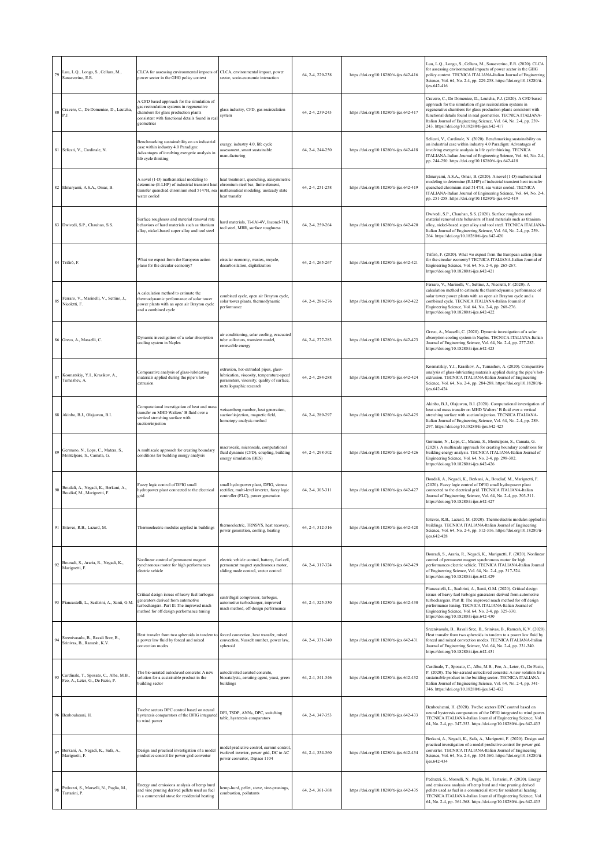| 79     | Luu, L.Q., Longo, S., Cellura, M.,<br>Sanseverino, E.R.                     | CLCA for assessing environmental impacts of CLCA, environmental impact, power<br>power sector in the GHG policy context                                                                           | sector, socio-economic interaction                                                                                                                         | 64, 2-4, 229-238 | https://doi.org/10.18280/ti-ijes.642-416 | Luu, L.Q., Longo, S., Cellura, M., Sanseverino, E.R. (2020). CLCA<br>for assessing environmental impacts of power sector in the GHG<br>policy context. TECNICA ITALIANA-Italian Journal of Engineering<br>Science, Vol. 64, No. 2-4, pp. 229-238. https://doi.org/10.18280/ti-<br>ijes.642-416                                                                                               |
|--------|-----------------------------------------------------------------------------|---------------------------------------------------------------------------------------------------------------------------------------------------------------------------------------------------|------------------------------------------------------------------------------------------------------------------------------------------------------------|------------------|------------------------------------------|----------------------------------------------------------------------------------------------------------------------------------------------------------------------------------------------------------------------------------------------------------------------------------------------------------------------------------------------------------------------------------------------|
| $80\,$ | Cravero, C., De Domenico, D., Leutcha,<br>P.J.                              | A CFD based approach for the simulation of<br>gas recirculation systems in regenerative<br>chambers for glass production plants<br>consistent with functional details found in real<br>geometries | glass industry, CFD, gas recirculation<br>system                                                                                                           | 64, 2-4, 239-243 | https://doi.org/10.18280/ti-ijes.642-417 | Cravero, C., De Domenico, D., Leutcha, P.J. (2020). A CFD based<br>approach for the simulation of gas recirculation systems in<br>regenerative chambers for glass production plants consistent with<br>functional details found in real geometries. TECNICA ITALIANA-<br>Italian Journal of Engineering Science, Vol. 64, No. 2-4, pp. 239-<br>243. https://doi.org/10.18280/ti-ijes.642-417 |
|        | 81 Selicati, V., Cardinale, N.                                              | Benchmarking sustainability on an industrial<br>case within industry 4.0 Paradigm:<br>Advantages of involving exergetic analysis in<br>life cycle thinking                                        | exergy, industry 4.0, life cycle<br>assessment, smart sustainable<br>nanufacturing                                                                         | 64, 2-4, 244-250 | https://doi.org/10.18280/ti-ijes.642-418 | Selicati, V., Cardinale, N. (2020). Benchmarking sustainability on<br>an industrial case within industry 4.0 Paradigm: Advantages of<br>involving exergetic analysis in life cycle thinking. TECNICA<br>ITALIANA-Italian Journal of Engineering Science, Vol. 64, No. 2-4,<br>pp. 244-250. https://doi.org/10.18280/ti-ijes.642-418                                                          |
|        | 82 Elmaryami, A.S.A., Omar, B.                                              | A novel (1-D) mathematical modeling to<br>determine (E-LHP) of industrial transient heat<br>transfer quenched chromium steel 5147H, sea<br>water cooled                                           | heat treatment, quenching, axisymmetric<br>chromium steel bar, finite element,<br>mathematical modeling, unsteady state<br>heat transfer                   | 64, 2-4, 251-258 | https://doi.org/10.18280/ti-ijes.642-419 | Elmaryami, A.S.A., Omar, B. (2020). A novel (1-D) mathematical<br>modeling to determine (E-LHP) of industrial transient heat transfer<br>quenched chromium steel 5147H, sea water cooled. TECNICA<br>ITALIANA-Italian Journal of Engineering Science, Vol. 64, No. 2-4,<br>pp. 251-258. https://doi.org/10.18280/ti-ijes.642-419                                                             |
|        | 83 Dwivedi, S.P., Chauhan, S.S.                                             | Surface roughness and material removal rate<br>behaviors of hard materials such as titanium<br>alloy, nickel-based super alloy and tool steel                                                     | ard materials, Ti-6Al-4V, Inconel-718,<br>tool steel, MRR, surface roughness                                                                               | 64, 2-4, 259-264 | https://doi.org/10.18280/ti-ijes.642-420 | Dwivedi, S.P., Chauhan, S.S. (2020). Surface roughness and<br>material removal rate behaviors of hard materials such as titanium<br>alloy, nickel-based super alloy and tool steel. TECNICA ITALIANA<br>Italian Journal of Engineering Science, Vol. 64, No. 2-4, pp. 259-<br>264. https://doi.org/10.18280/ti-ijes.642-420                                                                  |
|        | 84 Trifirò, F.                                                              | What we expect from the European action<br>plane for the circular economy?                                                                                                                        | tircular economy, wastes, recycle,<br>decarbosilation, digitalization                                                                                      | 64, 2-4, 265-267 | https://doi.org/10.18280/ti-ijes.642-421 | Trifirò, F. (2020). What we expect from the European action plane<br>for the circular economy? TECNICA ITALIANA-Italian Journal of<br>Engineering Science, Vol. 64, No. 2-4, pp. 265-267.<br>https://doi.org/10.18280/ti-ijes.642-421                                                                                                                                                        |
| 85     | Ferraro, V., Marinelli, V., Settino, J.,<br>Nicoletti, F.                   | A calculation method to estimate the<br>thermodynamic performance of solar tower<br>power plants with an open air Brayton cycle<br>and a combined cycle                                           | combined cycle, open air Brayton cycle,<br>solar tower plants, thermodynamic<br>performance                                                                | 64, 2-4, 286-276 | https://doi.org/10.18280/ti-ijes.642-422 | Ferraro, V., Marinelli, V., Settino, J., Nicoletti, F. (2020). A<br>calculation method to estimate the thermodynamic performance of<br>solar tower power plants with an open air Brayton cycle and a<br>combined cycle. TECNICA ITALIANA-Italian Journal of<br>Engineering Science, Vol. 64, No. 2-4, pp. 268-276.<br>https://doi.org/10.18280/ti-ijes.642-422                               |
|        | 86 Greco, A., Masselli, C.                                                  | Dynamic investigation of a solar absorption<br>cooling system in Naples                                                                                                                           | ir conditioning, solar cooling, evacuated<br>ube collectors, transient model,<br>renewable energy                                                          | 64, 2-4, 277-283 | https://doi.org/10.18280/ti-ijes.642-423 | Greco, A., Masselli, C. (2020). Dynamic investigation of a solar<br>absorption cooling system in Naples. TECNICA ITALIANA-Italian<br>Journal of Engineering Science, Vol. 64, No. 2-4, pp. 277-283.<br>https://doi.org/10.18280/ti-ijes.642-423                                                                                                                                              |
|        | Kosmatskiy, Y.I., Krasikov, A.,<br>Tumashev, A.                             | Comparative analysis of glass-lubricating<br>materials applied during the pipe's hot-<br>extrusion                                                                                                | extrusion, hot-extruded pipes, glass-<br>ubrication, viscosity, temperature-speed<br>parameters, viscosity, quality of surface,<br>netallographic research | 64, 2-4, 284-288 | https://doi.org/10.18280/ti-ijes.642-424 | Kosmatskiy, Y.I., Krasikov, A., Tumashev, A. (2020). Comparative<br>analysis of glass-lubricating materials applied during the pipe's hot-<br>extrusion. TECNICA ITALIANA-Italian Journal of Engineering<br>Science, Vol. 64, No. 2-4, pp. 284-288. https://doi.org/10.18280/ti-<br>ijes.642-424                                                                                             |
|        | 88 Akinbo, B.J., Olajuwon, B.I.                                             | Computational investigation of heat and mass<br>transfer on MHD Walters' B fluid over a<br>vertical stretching surface with<br>suction\injection                                                  | weissenberg number, heat generation,<br>suction\injection, magnetic field,<br>homotopy analysis method                                                     | 64, 2-4, 289-297 | https://doi.org/10.18280/ti-ijes.642-425 | Akinbo, B.J., Olajuwon, B.I. (2020). Computational investigation of<br>heat and mass transfer on MHD Walters' B fluid over a vertical<br>stretching surface with suction/injection. TECNICA ITALIANA-<br>Italian Journal of Engineering Science, Vol. 64, No. 2-4, pp. 289-<br>297. https://doi.org/10.18280/ti-ijes.642-425                                                                 |
| 89     | Germano, N., Lops, C., Matera, S.,<br>Montelpare, S., Camata, G.            | A multiscale approach for creating boundary<br>conditions for building energy analysis                                                                                                            | nacroscale, microscale, computational<br>fluid dynamic (CFD), coupling, building<br>energy simulation (BES)                                                | 64, 2-4, 298-302 | https://doi.org/10.18280/ti-ijes.642-426 | Germano, N., Lops, C., Matera, S., Montelpare, S., Camata, G.<br>(2020). A multiscale approach for creating boundary conditions for<br>building energy analysis. TECNICA ITALIANA-Italian Journal of<br>Engineering Science, Vol. 64, No. 2-4, pp. 298-302.<br>https://doi.org/10.18280/ti-ijes.642-426                                                                                      |
| 90     | Boudali, A., Negadi, K., Berkani, A.,<br>Boudiaf, M., Marignetti, F.        | Fuzzy logic control of DFIG small<br>hydropower plant connected to the electrical<br>grid                                                                                                         | small hydropower plant, DFIG, vienna<br>rectifier, multi-level inverter, fuzzy logic<br>controller (FLC), power generation                                 | 64, 2-4, 303-311 | https://doi.org/10.18280/ti-ijes.642-427 | Boudali, A., Negadi, K., Berkani, A., Boudiaf, M., Marignetti, F.<br>(2020). Fuzzy logic control of DFIG small hydropower plant<br>connected to the electrical grid. TECNICA ITALIANA-Italian<br>Journal of Engineering Science, Vol. 64, No. 2-4, pp. 303-311.<br>https://doi.org/10.18280/ti-ijes.642-427                                                                                  |
|        | 91 Esteves, R.B., Lazard, M.                                                | Thermoelectric modules applied in buildings                                                                                                                                                       | hermoelectric, TRNSYS, heat recovery,<br>ower generation, cooling, heating                                                                                 | 64, 2-4, 312-316 | https://doi.org/10.18280/ti-ijes.642-428 | Esteves, R.B., Lazard, M. (2020). Thermoelectric modules applied in<br>buildings. TECNICA ITALIANA-Italian Journal of Engineering<br>Science, Vol. 64, No. 2-4, pp. 312-316. https://doi.org/10.18280/ti-<br>ijes.642-428                                                                                                                                                                    |
| 92     | Bouradi, S., Araria, R., Negadi, K.,<br>Marignetti, F.                      | Nonlinear control of permanent magnet<br>synchronous motor for high performances<br>electric vehicle                                                                                              | electric vehicle control, battery, fuel cell,<br>permanent magnet synchronous motor,<br>sliding mode control, vector control                               | 64, 2-4, 317-324 | https://doi.org/10.18280/ti-ijes.642-429 | Bouradi, S., Araria, R., Negadi, K., Marignetti, F. (2020). Nonlinear<br>control of permanent magnet synchronous motor for high<br>performances electric vehicle. TECNICA ITALIANA-Italian Journal<br>of Engineering Science, Vol. 64, No. 2-4, pp. 317-324.<br>https://doi.org/10.18280/ti-ijes.642-429                                                                                     |
|        | 93 Piancastelli, L., Scaltrini, A., Santi, G.M.                             | Critical design issues of heavy fuel turbogas<br>generators derived from automotive<br>turbochargers. Part II: The improved mach<br>method for off design performance tuning                      | entrifugal compressor, turbogas,<br>utomotive turbocharger, improved<br>nach method, off-design performance                                                | 64, 2-4, 325-330 | https://doi.org/10.18280/ti-ijes.642-430 | Piancastelli, L., Scaltrini, A., Santi, G.M. (2020). Critical design<br>issues of heavy fuel turbogas generators derived from automotive<br>turbochargers. Part II: The improved mach method for off design<br>performance tuning. TECNICA ITALIANA-Italian Journal of<br>Engineering Science, Vol. 64, No. 2-4, pp. 325-330.<br>https://doi.org/10.18280/ti-ijes.642-430                    |
| 94     | Sreenivasulu, B., Ravali Sree, B.,<br>Srinivas, B., Ramesh, K.V.            | Heat transfer from two spheroids in tandem to<br>a power law fluid by forced and mixed<br>convection modes                                                                                        | forced convection, heat transfer, mixed<br>convection, Nusselt number, power law,<br>spheroid                                                              | 64, 2-4, 331-340 | https://doi.org/10.18280/ti-ijes.642-431 | Sreenivasulu, B., Ravali Sree, B., Srinivas, B., Ramesh, K.V. (2020).<br>Heat transfer from two spheroids in tandem to a power law fluid by<br>forced and mixed convection modes. TECNICA ITALIANA-Italian<br>Journal of Engineering Science, Vol. 64, No. 2-4, pp. 331-340.<br>https://doi.org/10.18280/ti-ijes.642-431                                                                     |
| 95     | Cardinale, T., Sposato, C., Alba, M.B.,<br>Feo, A., Leter, G., De Fazio, P. | The bio-aerated autoclaved concrete: A new<br>solution for a sustainable product in the<br>building sector                                                                                        | autoclavated aerated concrete.<br>piocatalysts, aerating agent, yeast, green<br>buildings                                                                  | 64, 2-4, 341-346 | https://doi.org/10.18280/ti-ijes.642-432 | Cardinale, T., Sposato, C., Alba, M.B., Feo, A., Leter, G., De Fazio,<br>P. (2020). The bio-aerated autoclaved concrete: A new solution for a<br>sustainable product in the building sector. TECNICA ITALIANA-<br>Italian Journal of Engineering Science, Vol. 64, No. 2-4, pp. 341-<br>346. https://doi.org/10.18280/ti-ijes.642-432                                                        |
|        | 96 Benbouhenni, H                                                           | Twelve sectors DPC control based on neural<br>hysteresis comparators of the DFIG integrated<br>to wind power                                                                                      | DFI, TSDP, ANNs, DPC, switching<br>table, hysteresis comparators                                                                                           | 64, 2-4, 347-353 | https://doi.org/10.18280/ti-ijes.642-433 | Benbouhenni, H. (2020). Twelve sectors DPC control based on<br>neural hysteresis comparators of the DFIG integrated to wind power<br>TECNICA ITALIANA-Italian Journal of Engineering Science, Vol.<br>64, No. 2-4, pp. 347-353. https://doi.org/10.18280/ti-ijes.642-433                                                                                                                     |
| 97     | Berkani, A., Negadi, K., Safa, A.,<br>Marignetti, F.                        | Design and practical investigation of a model<br>predictive control for power grid converter                                                                                                      | nodel predictive control, current control<br>wolevel inverter, power grid, DC to AC<br>power convertor, Dspace 1104                                        | 64, 2-4, 354-360 | https://doi.org/10.18280/ti-ijes.642-434 | Berkani, A., Negadi, K., Safa, A., Marignetti, F. (2020). Design and<br>practical investigation of a model predictive control for power grid<br>converter. TECNICA ITALIANA-Italian Journal of Engineering<br>Science, Vol. 64, No. 2-4, pp. 354-360. https://doi.org/10.18280/ti-<br>ijes.642-434                                                                                           |
| 98     | Pedrazzi, S., Morselli, N., Puglia, M.,<br>Tartarini, P.                    | Energy and emissions analysis of hemp hurd<br>and vine pruning derived pellets used as fuel<br>in a commercial stove for residential heating                                                      | emp-hurd, pellet, stove, vine-prunings,<br>ombustion, pollutants                                                                                           | 64, 2-4, 361-368 | https://doi.org/10.18280/ti-ijes.642-435 | Pedrazzi, S., Morselli, N., Puglia, M., Tartarini, P. (2020). Energy<br>and emissions analysis of hemp hurd and vine pruning derived<br>pellets used as fuel in a commercial stove for residential heating.<br>TECNICA ITALIANA-Italian Journal of Engineering Science, Vol.<br>64, No. 2-4, pp. 361-368. https://doi.org/10.18280/ti-ijes.642-435                                           |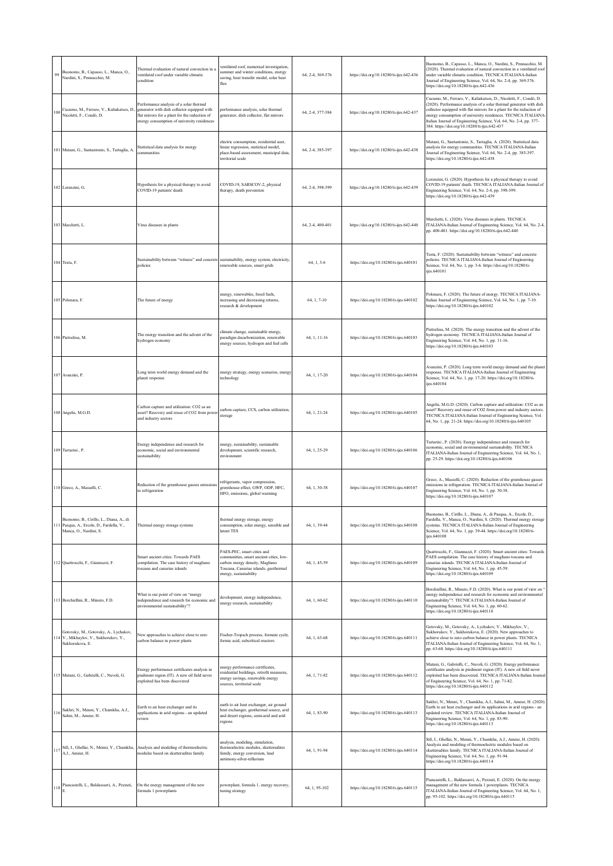| 99  | Buonomo, B., Capasso, L., Manca, O.,<br>Nardini, S., Pennacchio, M.                                            | Thermal evaluation of natural convection in a<br>entilated roof under variable climatic<br>condition                                                                                  | ventilated roof, numerical investigation,<br>summer and winter conditions, energy<br>saving, heat transfer model, solar heat<br>flux                                        | 64, 2-4, 369-376 | https://doi.org/10.18280/ti-ijes.642-436 | Buonomo, B., Capasso, L., Manca, O., Nardini, S., Pennacchio, M.<br>(2020). Thermal evaluation of natural convection in a ventilated roof<br>inder variable climatic condition. TECNICA ITALIANA-Italian<br>Journal of Engineering Science, Vol. 64, No. 2-4, pp. 369-376.<br>https://doi.org/10.18280/ti-ijes.642-436                                                                                      |
|-----|----------------------------------------------------------------------------------------------------------------|---------------------------------------------------------------------------------------------------------------------------------------------------------------------------------------|-----------------------------------------------------------------------------------------------------------------------------------------------------------------------------|------------------|------------------------------------------|-------------------------------------------------------------------------------------------------------------------------------------------------------------------------------------------------------------------------------------------------------------------------------------------------------------------------------------------------------------------------------------------------------------|
| 100 | Cucumo, M., Ferraro, V., Kaliakatsos, D.<br>Nicoletti, F., Condò, D.                                           | Performance analysis of a solar thermal<br>generator with dish collector equipped with<br>flat mirrors for a plant for the reduction of<br>nergy consumption of university residences | performance analysis, solar thermal<br>generator, dish collector, flat mirrors                                                                                              | 64, 2-4, 377-384 | https://doi.org/10.18280/ti-ijes.642-437 | Cucumo, M., Ferraro, V., Kaliakatsos, D., Nicoletti, F., Condò, D.<br>(2020). Performance analysis of a solar thermal generator with dish<br>collector equipped with flat mirrors for a plant for the reduction of<br>energy consumption of university residences. TECNICA ITALIANA-<br>Italian Journal of Engineering Science, Vol. 64, No. 2-4, pp. 377-<br>384. https://doi.org/10.18280/ti-ijes.642-437 |
|     | 101 Mutani, G., Santantonio, S., Tartaglia, A.                                                                 | Statistical data analysis for energy<br>communities                                                                                                                                   | electric consumption, residential user,<br>linear regression, statistical model,<br>place-based assessment, municipal data,<br>erritorial scale                             | 64, 2-4, 385-397 | https://doi.org/10.18280/ti-ijes.642-438 | Mutani, G., Santantonio, S., Tartaglia, A. (2020). Statistical data<br>analysis for energy communities. TECNICA ITALIANA-Italian<br>Journal of Engineering Science, Vol. 64, No. 2-4, pp. 385-397.<br>https://doi.org/10.18280/ti-ijes.642-438                                                                                                                                                              |
|     | 102 Lorenzini, G.                                                                                              | Hypothesis for a physical therapy to avoid<br>COVID-19 patients' death                                                                                                                | COVID-19, SARSCOV-2, physical<br>therapy, death prevention                                                                                                                  | 64, 2-4, 398-399 | https://doi.org/10.18280/ti-ijes.642-439 | Lorenzini, G. (2020). Hypothesis for a physical therapy to avoid<br>COVID-19 patients' death. TECNICA ITALIANA-Italian Journal of<br>Engineering Science, Vol. 64, No. 2-4, pp. 398-399.<br>https://doi.org/10.18280/ti-ijes.642-439                                                                                                                                                                        |
|     | 103 Marchetti, L.                                                                                              | Virus diseases in plants                                                                                                                                                              |                                                                                                                                                                             | 64, 2-4, 400-401 | https://doi.org/10.18280/ti-ijes.642-440 | Marchetti, L. (2020). Virus diseases in plants. TECNICA<br>ITALIANA-Italian Journal of Engineering Science, Vol. 64, No. 2-4,<br>pp. 400-401. https://doi.org/10.18280/ti-ijes.642-440                                                                                                                                                                                                                      |
|     | 104 Testa, F.                                                                                                  | Sustainability between "witness" and concrete sustainability, energy system, electricity,<br>policies                                                                                 | renewable sources, smart grids                                                                                                                                              | 64, 1, 3-6       | https://doi.org/10.18280/ti-ijes.640101  | Testa, F. (2020). Sustainability between "witness" and concrete<br>policies. TECNICA ITALIANA-Italian Journal of Engineering<br>Science, Vol. 64, No. 1, pp. 3-6. https://doi.org/10.18280/ti-<br>ijes.640101                                                                                                                                                                                               |
|     | 105 Polonara, F.                                                                                               | The future of energy                                                                                                                                                                  | energy, renewables, fossil fuels,<br>increasing and decreasing returns,<br>research & development                                                                           | 64, 1, 7-10      | https://doi.org/10.18280/ti-ijes.640102  | Polonara, F. (2020). The future of energy. TECNICA ITALIANA-<br>Italian Journal of Engineering Science, Vol. 64, No. 1, pp. 7-10.<br>https://doi.org/10.18280/ti-ijes.640102                                                                                                                                                                                                                                |
|     | 106 Pietrafesa, M.                                                                                             | The energy transition and the advent of the<br>hydrogen economy                                                                                                                       | climate change, sustainable energy,<br>paradigm decarbonization, renewable<br>energy sources, hydrogen and fuel cells                                                       | 64, 1, 11-16     | https://doi.org/10.18280/ti-ijes.640103  | Pietrafesa, M. (2020). The energy transition and the advent of the<br>hydrogen economy. TECNICA ITALIANA-Italian Journal of<br>Engineering Science, Vol. 64, No. 1, pp. 11-16.<br>https://doi.org/10.18280/ti-ijes.640103                                                                                                                                                                                   |
|     | 107 Avanzini, P.                                                                                               | Long term world energy demand and the<br>planet response                                                                                                                              | energy strategy, energy scenarios, energy<br>technology                                                                                                                     | 64, 1, 17-20     | https://doi.org/10.18280/ti-ijes.640104  | Avanzini, P. (2020). Long term world energy demand and the planet<br>response. TECNICA ITALIANA-Italian Journal of Engineering<br>Science, Vol. 64, No. 1, pp. 17-20. https://doi.org/10.18280/ti-<br>ijes.640104                                                                                                                                                                                           |
|     | 108 Angelis, M.G.D.                                                                                            | Carbon capture and utilization: CO2 as an<br>asset? Recovery and reuse of CO2 from power<br>and industry sectors                                                                      | carbon capture, CCS, carbon utilization,<br>storage                                                                                                                         | 64, 1, 21-24     | https://doi.org/10.18280/ti-ijes.640105  | Angelis, M.G.D. (2020). Carbon capture and utilization: CO2 as an<br>asset? Recovery and reuse of CO2 from power and industry sectors.<br>TECNICA ITALIANA-Italian Journal of Engineering Science, Vol.<br>64, No. 1, pp. 21-24. https://doi.org/10.18280/ti-ijes.640105                                                                                                                                    |
|     | 109 Tartarini, P.                                                                                              | Energy independence and research for<br>conomic, social and environmental<br>sustainability                                                                                           | energy, sustainability, sustainable<br>development, scientific research,<br>environment                                                                                     | 64, 1, 25-29     | https://doi.org/10.18280/ti-ijes.640106  | Tartarini, P. (2020). Energy independence and research for<br>economic, social and environmental sustainability. TECNICA<br>ITALIANA-Italian Journal of Engineering Science, Vol. 64, No. 1,<br>pp. 25-29. https://doi.org/10.18280/ti-ijes.640106                                                                                                                                                          |
|     | 110 Greco, A., Masselli, C.                                                                                    | Reduction of the greenhouse gasses emissions<br>in refrigeration                                                                                                                      | refrigerants, vapor compression,<br>greenhouse effect, GWP, ODP, HFC,<br>HFO, emissions, global warming                                                                     | 64, 1, 30-38     | https://doi.org/10.18280/ti-ijes.640107  | Greco, A., Masselli, C. (2020). Reduction of the greenhouse gasses<br>emissions in refrigeration. TECNICA ITALIANA-Italian Journal of<br>Engineering Science, Vol. 64, No. 1, pp. 30-38.<br>https://doi.org/10.18280/ti-ijes.640107                                                                                                                                                                         |
|     | Buonomo, B., Cirillo, L., Diana, A., di<br>111 Pasqua, A., Ercole, D., Fardella, V.,<br>Manca, O., Nardini, S. | Thermal energy storage systems                                                                                                                                                        | thermal energy storage, energy<br>consumption, solar energy, sensible and<br>latent TES                                                                                     | 64, 1, 39-44     | https://doi.org/10.18280/ti-ijes.640108  | Buonomo, B., Cirillo, L., Diana, A., di Pasqua, A., Ercole, D.,<br>Fardella, V., Manca, O., Nardini, S. (2020). Thermal energy storage<br>systems. TECNICA ITALIANA-Italian Journal of Engineering<br>Science, Vol. 64, No. 1, pp. 39-44. https://doi.org/10.18280/ti-<br>ijes.640108                                                                                                                       |
|     | 112 Quattrocchi, F., Giannuzzi, F.                                                                             | Smart ancient cities: Towards PAES<br>ompilation. The case history of magliano<br>oscana and canarias islands                                                                         | PAES-PEC, smart cities and<br>communities, smart ancient cities, low-<br>carbon energy density, Magliano<br>Toscana, Canarias islands, geothermal<br>energy, sustainability | 64, 1, 45-59     | https://doi.org/10.18280/ti-ijes.640109  | Quattrocchi, F., Giannuzzi, F. (2020). Smart ancient cities: Towards<br>PAES compilation. The case history of magliano toscana and<br>canarias islands. TECNICA ITALIANA-Italian Journal of<br>Engineering Science, Vol. 64, No. 1, pp. 45-59.<br>https://doi.org/10.18280/ti-ijes.640109                                                                                                                   |
|     | 113 Borchiellini, R., Minuto, F.D.                                                                             | What is our point of view on "energy<br>independence and research for economic and<br>nvironmental sustainability"?                                                                   | development, energy independence,<br>energy research, sustainability                                                                                                        | 64, 1, 60-62     | https://doi.org/10.18280/ti-ijes.640110  | Borchiellini, R., Minuto, F.D. (2020). What is our point of view on "<br>energy independence and research for economic and environmental<br>sustainability"?. TECNICA ITALIANA-Italian Journal of<br>Engineering Science, Vol. 64, No. 1, pp. 60-62.<br>https://doi.org/10.18280/ti-ijes.640110                                                                                                             |
|     | Gotovsky, M., Gotovsky, A., Lychakov,<br>114 V., Mikhaylov, V., Sukhorukov, Y.,<br>Sukhorukova, E.             | New approaches to achieve close to zero<br>carbon balance in power plants                                                                                                             | Fischer-Tropsch process, formate cycle,<br>formic acid, subcritical reactors                                                                                                | 64, 1, 63-68     | https://doi.org/10.18280/ti-ijes.640111  | Gotovsky, M., Gotovsky, A., Lychakov, V., Mikhaylov, V.,<br>Sukhorukov, Y., Sukhorukova, E. (2020). New approaches to<br>achieve close to zero carbon balance in power plants. TECNICA<br>ITALIANA-Italian Journal of Engineering Science, Vol. 64, No. 1,<br>pp. 63-68. https://doi.org/10.18280/ti-ijes.640111                                                                                            |
|     | 115 Mutani, G., Gabrielli, C., Nuvoli, G.                                                                      | Energy performance certificates analysis in<br>piedmont region (IT). A new oil field never<br>xploited has been discovered                                                            | energy performance certificates,<br>residential buildings, retrofit measures,<br>energy savings, renewable energy<br>sources, territorial scale                             | 64, 1, 71-82     | https://doi.org/10.18280/ti-ijes.640112  | Mutani, G., Gabrielli, C., Nuvoli, G. (2020). Energy performance<br>certificates analysis in piedmont region (IT). A new oil field never<br>exploited has been discovered. TECNICA ITALIANA-Italian Journal<br>of Engineering Science, Vol. 64, No. 1, pp. 71-82.<br>https://doi.org/10.18280/ti-ijes.640112                                                                                                |
| 116 | Sakhri, N., Menni, Y., Chamkha, A.J.,<br>Salmi, M., Ameur, H.                                                  | Earth to air heat exchanger and its<br>applications in arid regions - an updated<br>review                                                                                            | earth to air heat exchanger, air ground<br>heat exchanger, geothermal source, arid<br>and desert regions, semi-arid and arid<br>regions                                     | 64, 1, 83-90     | https://doi.org/10.18280/ti-ijes.640113  | Sakhri, N., Menni, Y., Chamkha, A.J., Salmi, M., Ameur, H. (2020).<br>Earth to air heat exchanger and its applications in arid regions - an<br>updated review. TECNICA ITALIANA-Italian Journal of<br>Engineering Science, Vol. 64, No. 1, pp. 83-90.<br>https://doi.org/10.18280/ti-ijes.640113                                                                                                            |
|     | 117 Sifi, I., Ghellai, N., Menni, Y., Chamkha,<br>A.J., Ameur, H.                                              | Analysis and modeling of thermoelectric<br>nodules based on skutterudites family                                                                                                      | analysis, modeling, simulation,<br>hermoelectric modules, skutterudites<br>family, energy conversion, lead<br>antimony-silver-tellurium                                     | 64, 1, 91-94     | https://doi.org/10.18280/ti-ijes.640114  | Sifi, I., Ghellai, N., Menni, Y., Chamkha, A.J., Ameur, H. (2020).<br>Analysis and modeling of thermoelectric modules based on<br>skutterudites family. TECNICA ITALIANA-Italian Journal of<br>Engineering Science, Vol. 64, No. 1, pp. 91-94.<br>https://doi.org/10.18280/ti-ijes.640114                                                                                                                   |
|     | 118 Piancastelli, L., Baldassarri, A., Pezzuti,                                                                | On the energy management of the new<br>formula 1 powerplants                                                                                                                          | powerplant, formula 1, energy recovery,<br>tuning strategy                                                                                                                  | 64, 1, 95-102    | https://doi.org/10.18280/ti-ijes.640115  | Piancastelli, L., Baldassarri, A., Pezzuti, E. (2020). On the energy<br>management of the new formula 1 powerplants. TECNICA<br>ITALIANA-Italian Journal of Engineering Science, Vol. 64, No. 1,<br>pp. 95-102. https://doi.org/10.18280/ti-ijes.640115                                                                                                                                                     |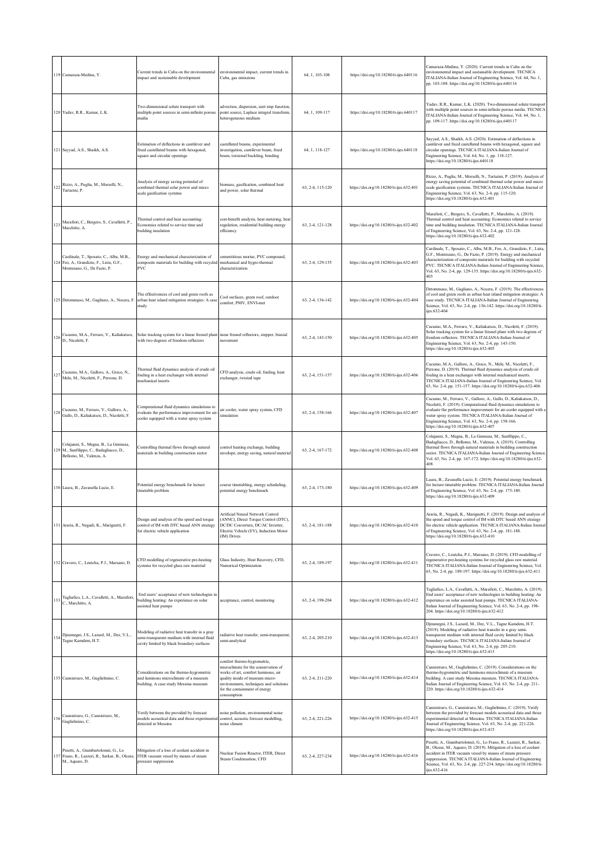|             | 119 Camaraza-Medina, Y.                                                                                            | Current trends in Cuba on the environmental<br>impact and sustainable development                                                         | environmental impact, current trends in<br>Cuba, gas emissions                                                                                                                                                                          | 64, 1, 103-108   | https://doi.org/10.18280/ti-ijes.640116  | Camaraza-Medina, Y. (2020). Current trends in Cuba on the<br>nvironmental impact and sustainable development. TECNICA<br>ITALIANA-Italian Journal of Engineering Science, Vol. 64, No. 1,<br>pp. 103-108. https://doi.org/10.18280/ti-ijes.640116                                                                                                                          |
|-------------|--------------------------------------------------------------------------------------------------------------------|-------------------------------------------------------------------------------------------------------------------------------------------|-----------------------------------------------------------------------------------------------------------------------------------------------------------------------------------------------------------------------------------------|------------------|------------------------------------------|----------------------------------------------------------------------------------------------------------------------------------------------------------------------------------------------------------------------------------------------------------------------------------------------------------------------------------------------------------------------------|
|             | 120 Yadav, R.R., Kumar, L.K.                                                                                       | Two-dimensional solute transport with<br>multiple point sources in semi-infinite porous<br>media                                          | advection, dispersion, unit step function,<br>point source, Laplace integral transform,<br>heterogeneous medium                                                                                                                         | 64, 1, 109-117   | https://doi.org/10.18280/ti-ijes.640117  | Yadav, R.R., Kumar, L.K. (2020). Two-dimensional solute transport<br>with multiple point sources in semi-infinite porous media. TECNICA<br>ITALIANA-Italian Journal of Engineering Science, Vol. 64, No. 1,<br>pp. 109-117. https://doi.org/10.18280/ti-ijes.640117                                                                                                        |
|             | 121 Sayyad, A.S., Shaikh, A.S.                                                                                     | Estimation of deflections in cantilever and<br>fixed castellated beams with hexagonal,<br>square and circular openings                    | castellated beams, experimental<br>investigation, cantilever beam, fixed<br>beam, torsional buckling, bending                                                                                                                           | 64, 1, 118-127   | https://doi.org/10.18280/ti-ijes.640118  | Sayyad, A.S., Shaikh, A.S. (2020). Estimation of deflections in<br>cantilever and fixed castellated beams with hexagonal, square and<br>circular openings. TECNICA ITALIANA-Italian Journal of<br>Ingineering Science, Vol. 64, No. 1, pp. 118-127.<br>https://doi.org/10.18280/ti-ijes.640118                                                                             |
|             | Rizzo, A., Puglia, M., Morselli, N.,<br>Tartarini, P.                                                              | Analysis of energy saving potential of<br>combined thermal solar power and micro<br>scale gasification systems                            | biomass, gasification, combined heat<br>and power, solar thermal                                                                                                                                                                        | 63, 2-4, 115-120 | https://doi.org/10.18280/ti-ijes.632-401 | Rizzo, A., Puglia, M., Morselli, N., Tartarini, P. (2019). Analysis of<br>energy saving potential of combined thermal solar power and micro<br>cale gasification systems. TECNICA ITALIANA-Italian Journal of<br>Engineering Science, Vol. 63, No. 2-4, pp. 115-120.<br>https://doi.org/10.18280/ti-ijes.632-401                                                           |
| 123         | Marafioti, C., Bergero, S., Cavalletti, P.,<br>Marchitto, A.                                                       | Thermal control and heat accounting:<br>Economics related to service time and<br>building insulation                                      | cost-benefit analysis, heat metering, heat<br>regulation, residential building energy<br>efficiency                                                                                                                                     | 63, 2-4, 121-128 | https://doi.org/10.18280/ti-ijes.632-402 | Aarafioti, C., Bergero, S., Cavalletti, P., Marchitto, A. (2019).<br>Thermal control and heat accounting: Economics related to service<br>time and building insulation. TECNICA ITALIANA-Italian Journal<br>of Engineering Science, Vol. 63, No. 2-4, pp. 121-128.<br>https://doi.org/10.18280/ti-ijes.632-402                                                             |
|             | Cardinale, T., Sposato, C., Alba, M.B.,<br>124 Feo, A., Grandizio, F., Lista, G.F.,<br>Montesano, G., De Fazio, P. | Energy and mechanical characterization of<br>composite materials for building with recycled<br>PVC                                        | cementitious mortar, PVC compound,<br>mechanical and hygro-thermal<br>characterization                                                                                                                                                  | 63, 2-4, 129-135 | https://doi.org/10.18280/ti-ijes.632-403 | Cardinale, T., Sposato, C., Alba, M.B., Feo, A., Grandizio, F., Lista,<br>G.F., Montesano, G., De Fazio, P. (2019). Energy and mechanical<br>characterization of composite materials for building with recycled<br>PVC. TECNICA ITALIANA-Italian Journal of Engineering Science,<br>Vol. 63, No. 2-4, pp. 129-135. https://doi.org/10.18280/ti-ijes.632-                   |
|             | 125 Detommaso, M., Gagliano, A., Nocera, F.                                                                        | The effectiveness of cool and green roofs as<br>urban heat island mitigation strategies: A case<br>study                                  | Cool surfaces, green roof, outdoor<br>comfort, PMV, ENVI-met                                                                                                                                                                            | 63, 2-4, 136-142 | https://doi.org/10.18280/ti-ijes.632-404 | Detommaso, M., Gagliano, A., Nocera, F. (2019). The effectiveness<br>of cool and green roofs as urban heat island mitigation strategies: A<br>case study. TECNICA ITALIANA-Italian Journal of Engineering<br>Science, Vol. 63, No. 2-4, pp. 136-142. https://doi.org/10.18280/ti-<br>ijes.632-404                                                                          |
| 126         | Cucumo, M.A., Ferraro, V., Kaliakatsos,<br>D., Nicoletti, F.                                                       | Solar tracking system for a linear fresnel plant<br>with two degrees of freedom reflectors                                                | inear fresnel reflectors, stepper, biaxial<br>movement                                                                                                                                                                                  | 63, 2-4, 143-150 | https://doi.org/10.18280/ti-ijes.632-405 | Cucumo, M.A., Ferraro, V., Kaliakatsos, D., Nicoletti, F. (2019).<br>Solar tracking system for a linear fresnel plant with two degrees of<br>reedom reflectors. TECNICA ITALIANA-Italian Journal of<br>Engineering Science, Vol. 63, No. 2-4, pp. 143-150.<br>https://doi.org/10.18280/ti-ijes.632-405                                                                     |
| $2^{\circ}$ | Cucumo, M.A., Galloro, A., Greco, N.,<br>Mele, M., Nicoletti, F., Perrone, D.                                      | Thermal fluid dynamics analysis of crude oil<br>fouling in a heat exchanger with internal<br>mechanical inserts                           | CFD analysis, crude oil, fouling, heat<br>exchanger, twisted tape                                                                                                                                                                       | 63, 2-4, 151-157 | https://doi.org/10.18280/ti-ijes.632-406 | Cucumo, M.A., Galloro, A., Greco, N., Mele, M., Nicoletti, F.,<br>Perrone, D. (2019). Thermal fluid dynamics analysis of crude oil<br>buling in a heat exchanger with internal mechanical inserts.<br>TECNICA ITALIANA-Italian Journal of Engineering Science, Vol.<br>63, No. 2-4, pp. 151-157. https://doi.org/10.18280/ti-ijes.632-406                                  |
| 12          | Cucumo, M., Ferraro, V., Galloro, A.,<br>Gullo, D., Kaliakatsos, D., Nicoletti, F.                                 | Computational fluid dynamics simulations to<br>evaluate the performance improvement for air-<br>cooler equipped with a water spray system | air cooler, water spray system, CFD<br>simulation                                                                                                                                                                                       | 63, 2-4, 158-166 | https://doi.org/10.18280/ti-ijes.632-407 | Cucumo, M., Ferraro, V., Galloro, A., Gullo, D., Kaliakatsos, D.,<br>Nicoletti, F. (2019). Computational fluid dynamics simulations to<br>valuate the performance improvement for air-cooler equipped with a<br>vater spray system. TECNICA ITALIANA-Italian Journal of<br>Engineering Science, Vol. 63, No. 2-4, pp. 158-166.<br>https://doi.org/10.18280/ti-ijes.632-407 |
| 129         | Colajanni, S., Megna, B., La Gennusa,<br>M., Sanfilippo, C., Badagliacco, D.,<br>Bellomo, M., Valenza, A.          | Controlling thermal flows through natural<br>materials in building construction sector                                                    | control heating exchange, building<br>envelope, energy saving, natural material                                                                                                                                                         | 63, 2-4, 167-172 | https://doi.org/10.18280/ti-ijes.632-408 | Colajanni, S., Megna, B., La Gennusa, M., Sanfilippo, C.,<br>Badagliacco, D., Bellomo, M., Valenza, A. (2019). Controlling<br>thermal flows through natural materials in building construction<br>sector. TECNICA ITALIANA-Italian Journal of Engineering Science,<br>Vol. 63, No. 2-4, pp. 167-172. https://doi.org/10.18280/ti-ijes.632-<br>408                          |
|             | 130 Laura, B., Zavanella Lucio, E.                                                                                 | Potential energy benchmark for lecture<br>timetable problem                                                                               | course timetabling, energy scheduling,<br>potential energy benchmark                                                                                                                                                                    | 63, 2-4, 173-180 | https://doi.org/10.18280/ti-ijes.632-409 | .aura, B., Zavanella Lucio, E. (2019). Potential energy benchmark<br>for lecture timetable problem. TECNICA ITALIANA-Italian Journal<br>of Engineering Science, Vol. 63, No. 2-4, pp. 173-180.<br>https://doi.org/10.18280/ti-ijes.632-409                                                                                                                                 |
|             | 131 Araria, R., Negadi, K., Marignetti, F.                                                                         | Design and analysis of the speed and torque<br>control of IM with DTC based ANN strategy<br>for electric vehicle application              | Artificial Neural Network Control<br>(ANNC), Direct Torque Control (DTC),<br>DC/DC Converters, DC/AC Inverter,<br>Electric Vehicle (EV), Induction Motor<br>(IM) Drives                                                                 | 63, 2-4, 181-188 | https://doi.org/10.18280/ti-ijes.632-410 | Araria, R., Negadi, K., Marignetti, F. (2019). Design and analysis of<br>the speed and torque control of IM with DTC based ANN strategy<br>for electric vehicle application. TECNICA ITALIANA-Italian Journal<br>of Engineering Science, Vol. 63, No. 2-4, pp. 181-188.<br>https://doi.org/10.18280/ti-ijes.632-410                                                        |
|             | 132 Cravero, C., Leutcha, P.J., Marsano, D.                                                                        | CFD modelling of regenerative pre-heating<br>systems for recycled glass raw material                                                      | Glass Industry, Heat Recovery, CFD,<br>Numerical Optimization                                                                                                                                                                           | 63, 2-4, 189-197 | https://doi.org/10.18280/ti-ijes.632-411 | Cravero, C., Leutcha, P.J., Marsano, D. (2019). CFD modelling of<br>regenerative pre-heating systems for recycled glass raw material.<br>TECNICA ITALIANA-Italian Journal of Engineering Science, Vol.<br>63, No. 2-4, pp. 189-197. https://doi.org/10.18280/ti-ijes.632-411                                                                                               |
| 133         | Tagliafico, L.A., Cavalletti, A., Marafioti,<br>C., Marchitto, A.                                                  | End users' acceptance of new technologies in<br>building heating: An experience on solar<br>assisted heat pumps                           | acceptance, control, monitoring                                                                                                                                                                                                         | 63, 2-4, 198-204 | https://doi.org/10.18280/ti-ijes.632-412 | Tagliafico, L.A., Cavalletti, A., Marafioti, C., Marchitto, A. (2019).<br>End users' acceptance of new technologies in building heating: An<br>experience on solar assisted heat pumps. TECNICA ITALIANA-<br>Italian Journal of Engineering Science, Vol. 63, No. 2-4, pp. 198-<br>204. https://doi.org/10.18280/ti-ijes.632-412                                           |
| $13-$       | Djeumegni, J.S., Lazard, M., Dez, V.L.,<br>Tagne Kamdem, H.T.                                                      | Modeling of radiative heat transfer in a gray<br>semi-transparent medium with internal fluid<br>cavity limited by black boundary surfaces | adiative heat transfer, semi-transparent,<br>semi-analytical                                                                                                                                                                            | 63, 2-4, 205-210 | https://doi.org/10.18280/ti-ijes.632-413 | Djeumegni, J.S., Lazard, M., Dez, V.L., Tagne Kamdem, H.T.<br>(2019). Modeling of radiative heat transfer in a gray semi-<br>ransparent medium with internal fluid cavity limited by black<br>boundary surfaces. TECNICA ITALIANA-Italian Journal of<br>Engineering Science, Vol. 63, No. 2-4, pp. 205-210.<br>https://doi.org/10.18280/ti-ijes.632-413                    |
|             | 135 Cannistraro, M., Guglielmino, C.                                                                               | Considerations on the thermo-hygrometric<br>and luminous microclimate of a museum<br>building. A case study Messina museum                | comfort thermo-hygrometric,<br>microclimate for the conservation of<br>works of art, comfort luminous, air<br>quality inside of museum micro-<br>environments, techniques and solutions<br>for the containment of energy<br>consumption | 63, 2-4, 211-220 | https://doi.org/10.18280/ti-ijes.632-414 | Cannistraro, M., Guglielmino, C. (2019). Considerations on the<br>hermo-hygrometric and luminous microclimate of a museum<br>building. A case study Messina museum. TECNICA ITALIANA-<br>Italian Journal of Engineering Science, Vol. 63, No. 2-4, pp. 211-<br>220. https://doi.org/10.18280/ti-ijes.632-414                                                               |
| 136         | Cannistraro, G., Cannistraro, M.,<br>Guglielmino, C.                                                               | Verify between the provided by forecast<br>models acoustical data and those experimental<br>detected at Messina                           | noise pollution, environmental noise<br>control, acoustic forecast modelling,<br>noise climate                                                                                                                                          | 63, 2-4, 221-226 | https://doi.org/10.18280/ti-ijes.632-415 | Cannistraro, G., Cannistraro, M., Guglielmino, C. (2019). Verify<br>between the provided by forecast models acoustical data and those<br>experimental detected at Messina. TECNICA ITALIANA-Italian<br>Journal of Engineering Science, Vol. 63, No. 2-4, pp. 221-226.<br>https://doi.org/10.18280/ti-ijes.632-415                                                          |
|             | Pesetti, A., Giambartolomei, G., Lo<br>137 Frano, R., Lazzeri, R., Sarkar, B., Olcese<br>M., Aquaro, D.            | Mitigation of a loss of coolant accident in<br>ITER vacuum vessel by means of steam<br>pressure suppression                               | Nuclear Fusion Reactor, ITER, Direct<br>Steam Condensation, CFD                                                                                                                                                                         | 63, 2-4, 227-234 | https://doi.org/10.18280/ti-ijes.632-416 | Pesetti, A., Giambartolomei, G., Lo Frano, R., Lazzeri, R., Sarkar,<br>B., Olcese, M., Aquaro, D. (2019). Mitigation of a loss of coolant<br>accident in ITER vacuum vessel by means of steam pressure<br>suppression. TECNICA ITALIANA-Italian Journal of Engineering<br>Science, Vol. 63, No. 2-4, pp. 227-234. https://doi.org/10.18280/ti-<br>ies.632-416              |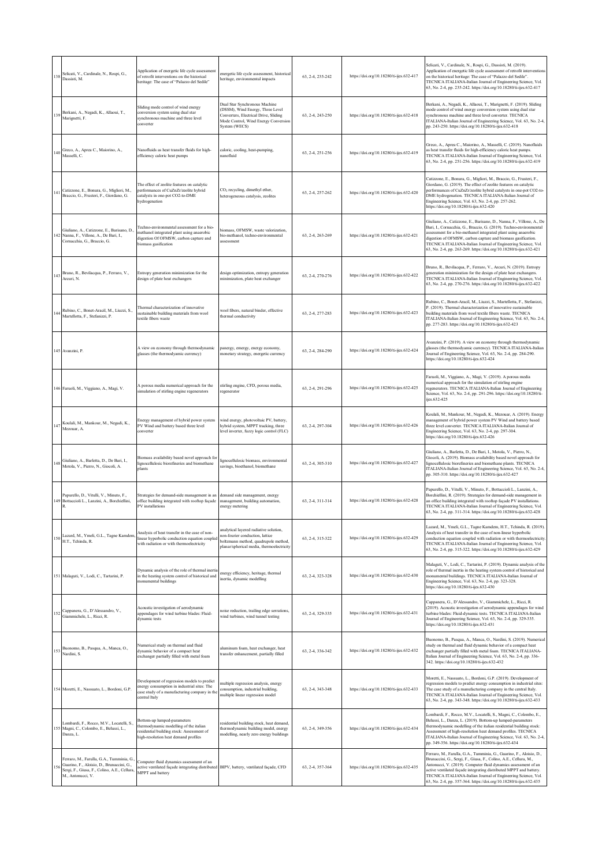| 138 | Selicati, V., Cardinale, N., Rospi, G.,<br>Dassisti, M.                                                                                                    | Application of energetic life cycle assessment<br>of retrofit interventions on the historical<br>heritage: The case of "Palazzo del Sedile"                 | energetic life cycle assessment, historical<br>heritage, environmental impacts                                                                                      | 63, 2-4, 235-242 | https://doi.org/10.18280/ti-ijes.632-417 | Selicati, V., Cardinale, N., Rospi, G., Dassisti, M. (2019).<br>Application of energetic life cycle assessment of retrofit interventions<br>on the historical heritage: The case of "Palazzo del Sedile".<br>TECNICA ITALIANA-Italian Journal of Engineering Science, Vol.<br>63, No. 2-4, pp. 235-242. https://doi.org/10.18280/ti-ijes.632-417                                                                       |
|-----|------------------------------------------------------------------------------------------------------------------------------------------------------------|-------------------------------------------------------------------------------------------------------------------------------------------------------------|---------------------------------------------------------------------------------------------------------------------------------------------------------------------|------------------|------------------------------------------|------------------------------------------------------------------------------------------------------------------------------------------------------------------------------------------------------------------------------------------------------------------------------------------------------------------------------------------------------------------------------------------------------------------------|
| 139 | Berkani, A., Negadi, K., Allaoui, T.,<br>Marignetti, F.                                                                                                    | Sliding mode control of wind energy<br>conversion system using dual star<br>synchronous machine and three level<br>converter                                | Dual Star Synchronous Machine<br>(DSSM), Wind Energy, Three Level<br>Converters, Electrical Drive, Sliding<br>Mode Control, Wind Energy Conversion<br>System (WECS) | 63, 2-4, 243-250 | https://doi.org/10.18280/ti-ijes.632-418 | Berkani, A., Negadi, K., Allaoui, T., Marignetti, F. (2019). Sliding<br>mode control of wind energy conversion system using dual star<br>synchronous machine and three level converter. TECNICA<br>ITALIANA-Italian Journal of Engineering Science, Vol. 63, No. 2-4,<br>pp. 243-250. https://doi.org/10.18280/ti-ijes.632-418                                                                                         |
| 140 | Greco, A., Aprea C., Maiorino, A.,<br>Masselli, C.                                                                                                         | Nanofluids as heat transfer fluids for high-<br>efficiency caloric heat pumps                                                                               | caloric, cooling, heat-pumping,<br>nanofluid                                                                                                                        | 63, 2-4, 251-256 | https://doi.org/10.18280/ti-ijes.632-419 | Greco, A., Aprea C., Maiorino, A., Masselli, C. (2019). Nanofluids<br>as heat transfer fluids for high-efficiency caloric heat pumps.<br>TECNICA ITALIANA-Italian Journal of Engineering Science, Vol.<br>63, No. 2-4, pp. 251-256. https://doi.org/10.18280/ti-ijes.632-419                                                                                                                                           |
| 14  | Catizzone, E., Bonura, G., Migliori, M.,<br>Braccio, G., Frusteri, F., Giordano, G.                                                                        | The effect of zeolite features on catalytic<br>performances of CuZnZr/zeolite hybrid<br>catalysts in one-pot CO2-to-DME<br>hydrogenation                    | CO <sub>2</sub> recycling, dimethyl ether,<br>heterogeneous catalysis, zeolites                                                                                     | 63, 2-4, 257-262 | https://doi.org/10.18280/ti-ijes.632-420 | Catizzone, E., Bonura, G., Migliori, M., Braccio, G., Frusteri, F.,<br>Giordano, G. (2019). The effect of zeolite features on catalytic<br>performances of CuZnZr/zeolite hybrid catalysts in one-pot CO2-to-<br>DME hydrogenation. TECNICA ITALIANA-Italian Journal of<br>Engineering Science, Vol. 63, No. 2-4, pp. 257-262.<br>https://doi.org/10.18280/ti-ijes.632-420                                             |
| 142 | Giuliano, A., Catizzone, E., Barisano, D.<br>Nanna, F., Villone, A., De Bari, I.,<br>Cornacchia, G., Braccio, G.                                           | Fechno-environmental assessment for a bio-<br>methanol integrated plant using anaerobic<br>digestion Of OFMSW, carbon capture and<br>biomass gasification   | biomass, OFMSW, waste valorization,<br>bio-methanol, techno-environmental<br>assessment                                                                             | 63, 2-4, 263-269 | https://doi.org/10.18280/ti-ijes.632-421 | Giuliano, A., Catizzone, E., Barisano, D., Nanna, F., Villone, A., De<br>Bari, I., Cornacchia, G., Braccio, G. (2019). Techno-environmental<br>assessment for a bio-methanol integrated plant using anaerobic<br>digestion of OFMSW, carbon capture and biomass gasification.<br>TECNICA ITALIANA-Italian Journal of Engineering Science, Vol.<br>63, No. 2-4, pp. 263-269. https://doi.org/10.18280/ti-ijes.632-421   |
| 143 | Bruno, R., Bevilacqua, P., Ferraro, V.,<br>Arcuri, N.                                                                                                      | Entropy generation minimization for the<br>design of plate heat exchangers                                                                                  | design optimization, entropy generation<br>minimization, plate heat exchanger                                                                                       | 63, 2-4, 270-276 | https://doi.org/10.18280/ti-ijes.632-422 | Bruno, R., Bevilacqua, P., Ferraro, V., Arcuri, N. (2019). Entropy<br>generation minimization for the design of plate heat exchangers.<br>TECNICA ITALIANA-Italian Journal of Engineering Science, Vol.<br>63, No. 2-4, pp. 270-276. https://doi.org/10.18280/ti-ijes.632-422                                                                                                                                          |
|     | Rubino, C., Bonet-Aracil, M., Liuzzi, S.,<br>Martellotta, F., Stefanizzi, P.                                                                               | Thermal characterization of innovative<br>sustainable building materials from wool<br>textile fibers waste                                                  | wool fibers, natural binder, effective<br>thermal conductivity                                                                                                      | 63, 2-4, 277-283 | https://doi.org/10.18280/ti-ijes.632-423 | Rubino, C., Bonet-Aracil, M., Liuzzi, S., Martellotta, F., Stefanizzi,<br>P. (2019). Thermal characterization of innovative sustainable<br>building materials from wool textile fibers waste. TECNICA<br>ITALIANA-Italian Journal of Engineering Science, Vol. 63, No. 2-4,<br>pp. 277-283. https://doi.org/10.18280/ti-ijes.632-423                                                                                   |
|     | 145 Avanzini, P.                                                                                                                                           | A view on economy through thermodynamic<br>glasses (the thermodyamic currency)                                                                              | panergy, emergy, energy economy,<br>nonetary strategy, energetic currency                                                                                           | 63, 2-4, 284-290 | https://doi.org/10.18280/ti-ijes.632-424 | Avanzini, P. (2019). A view on economy through thermodynamic<br>glasses (the thermodyamic currency). TECNICA ITALIANA-Italian<br>lournal of Engineering Science, Vol. 63, No. 2-4, pp. 284-290.<br>https://doi.org/10.18280/ti-ijes.632-424                                                                                                                                                                            |
|     | 146 Faruoli, M., Viggiano, A., Magi, V.                                                                                                                    | A porous media numerical approach for the<br>simulation of stirling engine regenerators                                                                     | stirling engine, CFD, porous media,<br>regenerator                                                                                                                  | 63, 2-4, 291-296 | https://doi.org/10.18280/ti-ijes.632-425 | Faruoli, M., Viggiano, A., Magi, V. (2019). A porous media<br>numerical approach for the simulation of stirling engine<br>egenerators. TECNICA ITALIANA-Italian Journal of Engineering<br>Science, Vol. 63, No. 2-4, pp. 291-296. https://doi.org/10.18280/ti-<br>jes.632-425                                                                                                                                          |
|     | Koulali, M., Mankour, M., Negadi, K.,<br>Mezouar, A.                                                                                                       | Energy management of hybrid power system<br>PV Wind and battery based three level<br>converter                                                              | wind energy, photovoltaic PV, battery,<br>hybrid system, MPPT tracking, three<br>level inverter, fuzzy logic control (FLC)                                          | 63, 2-4, 297-304 | https://doi.org/10.18280/ti-ijes.632-426 | Koulali, M., Mankour, M., Negadi, K., Mezouar, A. (2019). Energy<br>management of hybrid power system PV Wind and battery based<br>three level converter. TECNICA ITALIANA-Italian Journal of<br>Engineering Science, Vol. 63, No. 2-4, pp. 297-304.<br>https://doi.org/10.18280/ti-ijes.632-426                                                                                                                       |
|     | Giuliano, A., Barletta, D., De Bari, I.,<br>Motola, V., Pierro, N., Giocoli, A.                                                                            | Biomass availability based novel approach for<br>lignocellulosic biorefineries and biomethane<br>plants                                                     | ignocellulosic biomass, environmental<br>savings, bioethanol, biomethane                                                                                            | 63, 2-4, 305-310 | https://doi.org/10.18280/ti-ijes.632-427 | Giuliano, A., Barletta, D., De Bari, I., Motola, V., Pierro, N.,<br>Giocoli, A. (2019). Biomass availability based novel approach for<br>lignocellulosic biorefineries and biomethane plants. TECNICA<br>ITALIANA-Italian Journal of Engineering Science, Vol. 63, No. 2-4.<br>pp. 305-310. https://doi.org/10.18280/ti-ijes.632-427                                                                                   |
|     | Papurello, D., Vitulli, V., Minuto, F.,<br>149 Bottaccioli L., Lanzini, A., Borchiellini,                                                                  | Strategies for demand-side management in an<br>office building integrated with rooftop façade<br>PV installations                                           | demand side management, energy<br>management, building automation,<br>energy metering                                                                               | 63, 2-4, 311-314 | https://doi.org/10.18280/ti-ijes.632-428 | Papurello, D., Vitulli, V., Minuto, F., Bottaccioli L., Lanzini, A.,<br>Borchiellini, R. (2019). Strategies for demand-side management in<br>an office building integrated with rooftop façade PV installations.<br>TECNICA ITALIANA-Italian Journal of Engineering Science, Vol.<br>63, No. 2-4, pp. 311-314. https://doi.org/10.18280/ti-ijes.632-428                                                                |
| 150 | Lazard, M., Ymeli, G.L., Tagne Kamdem<br>H.T., Tchinda, R.                                                                                                 | Analysis of heat transfer in the case of non-<br>linear hyperbolic conduction equation coupled<br>with radiation or with thermoelectricity                  | analytical layered radiative solution,<br>ion-fourier conduction, lattice<br>boltzmann method, quadrupole method,<br>planar/spherical media, thermoelectricity      | 63, 2-4, 315-322 | https://doi.org/10.18280/ti-ijes.632-429 | Lazard, M., Ymeli, G.L., Tagne Kamdem, H.T., Tchinda, R. (2019).<br>Analysis of heat transfer in the case of non-linear hyperbolic<br>conduction equation coupled with radiation or with thermoelectricity.<br>TECNICA ITALIANA-Italian Journal of Engineering Science, Vol.<br>63, No. 2-4, pp. 315-322. https://doi.org/10.18280/ti-ijes.632-429                                                                     |
|     | 151 Malaguti, V., Lodi, C., Tartarini, P.                                                                                                                  | Dynamic analysis of the role of thermal inertia<br>in the heating system control of historical and<br>monumental buildings                                  | energy efficiency, heritage, thermal<br>inertia, dynamic modelling                                                                                                  | 63, 2-4, 323-328 | https://doi.org/10.18280/ti-ijes.632-430 | Malaguti, V., Lodi, C., Tartarini, P. (2019). Dynamic analysis of the<br>role of thermal inertia in the heating system control of historical and<br>nonumental buildings. TECNICA ITALIANA-Italian Journal of<br>Engineering Science, Vol. 63, No. 2-4, pp. 323-328.<br>https://doi.org/10.18280/ti-ijes.632-430                                                                                                       |
| 152 | Cappanera, G., D'Alessandro, V.,<br>Giammichele, L., Ricci, R.                                                                                             | Acoustic investigation of aerodynamic<br>appendages for wind turbine blades: Fluid-<br>dynamic tests                                                        | noise reduction, trailing edge serrations,<br>vind turbines, wind tunnel testing                                                                                    | 63, 2-4, 329-335 | https://doi.org/10.18280/ti-ijes.632-431 | Cappanera, G., D'Alessandro, V., Giammichele, L., Ricci, R.<br>(2019). Acoustic investigation of aerodynamic appendages for wind<br>turbine blades: Fluid-dynamic tests. TECNICA ITALIANA-Italian<br>Journal of Engineering Science, Vol. 63, No. 2-4, pp. 329-335.<br>https://doi.org/10.18280/ti-ijes.632-431                                                                                                        |
| 153 | Buonomo, B., Pasqua, A., Manca, O.,<br>Nardini, S.                                                                                                         | Numerical study on thermal and fluid<br>dynamic behavior of a compact heat<br>exchanger partially filled with metal foam                                    | aluminum foam, heat exchanger, heat<br>transfer enhancement, partially filled                                                                                       | 63, 2-4, 336-342 | https://doi.org/10.18280/ti-ijes.632-432 | Buonomo, B., Pasqua, A., Manca, O., Nardini, S. (2019). Numerical<br>study on thermal and fluid dynamic behavior of a compact heat<br>exchanger partially filled with metal foam. TECNICA ITALIANA-<br>Italian Journal of Engineering Science, Vol. 63, No. 2-4, pp. 336-<br>342. https://doi.org/10.18280/ti-ijes.632-432                                                                                             |
|     | 154 Moretti, E., Nassuato, L., Bordoni, G.P.                                                                                                               | Development of regression models to predict<br>energy consumption in industrial sites: The<br>case study of a manufacturing company in the<br>central Italy | nultiple regression analysis, energy<br>onsumption, industrial building,<br>multiple linear regression model                                                        | 63, 2-4, 343-348 | https://doi.org/10.18280/ti-ijes.632-433 | Moretti, E., Nassuato, L., Bordoni, G.P. (2019). Development of<br>regression models to predict energy consumption in industrial sites:<br>The case study of a manufacturing company in the central Italy.<br>TECNICA ITALIANA-Italian Journal of Engineering Science, Vol.<br>63, No. 2-4, pp. 343-348. https://doi.org/10.18280/ti-ijes.632-433                                                                      |
| 155 | Lombardi, F., Rocco, M.V., Locatelli, S.<br>Magni, C., Colombo, E., Belussi, L.,<br>Danza, L.                                                              | Bottom-up lumped-parameters<br>thermodynamic modelling of the italian<br>residential building stock: Assessment of<br>high-resolution heat demand profiles  | residential building stock, heat demand,<br>thermodynamic building model, energy<br>modelling, nearly zero energy buildings                                         | 63, 2-4, 349-356 | https://doi.org/10.18280/ti-ijes.632-434 | Lombardi, F., Rocco, M.V., Locatelli, S., Magni, C., Colombo, E.,<br>Belussi, L., Danza, L. (2019). Bottom-up lumped-parameters<br>thermodynamic modelling of the italian residential building stock:<br>Assessment of high-resolution heat demand profiles. TECNICA<br>ITALIANA-Italian Journal of Engineering Science, Vol. 63, No. 2-4,<br>pp. 349-356. https://doi.org/10.18280/ti-ijes.632-434                    |
|     | Ferraro, M., Farulla, G.A., Tumminia, G.<br>Guarino, F., Aloisio, D., Brunaccini, G.,<br>Sergi, F., Giusa, F., Colino, A.E., Cellura,<br>M., Antonucci, V. | Computer fluid dynamics assessment of an<br>active ventilated façade integrating distributed BIPV, battery, ventilated façade, CFD<br>MPPT and battery      |                                                                                                                                                                     | 63, 2-4, 357-364 | https://doi.org/10.18280/ti-ijes.632-435 | Ferraro, M., Farulla, G.A., Tumminia, G., Guarino, F., Aloisio, D.,<br>Brunaccini, G., Sergi, F., Giusa, F., Colino, A.E., Cellura, M.,<br>Antonucci, V. (2019). Computer fluid dynamics assessment of an<br>active ventilated façade integrating distributed MPPT and battery.<br>TECNICA ITALIANA-Italian Journal of Engineering Science, Vol.<br>63, No. 2-4, pp. 357-364. https://doi.org/10.18280/ti-ijes.632-435 |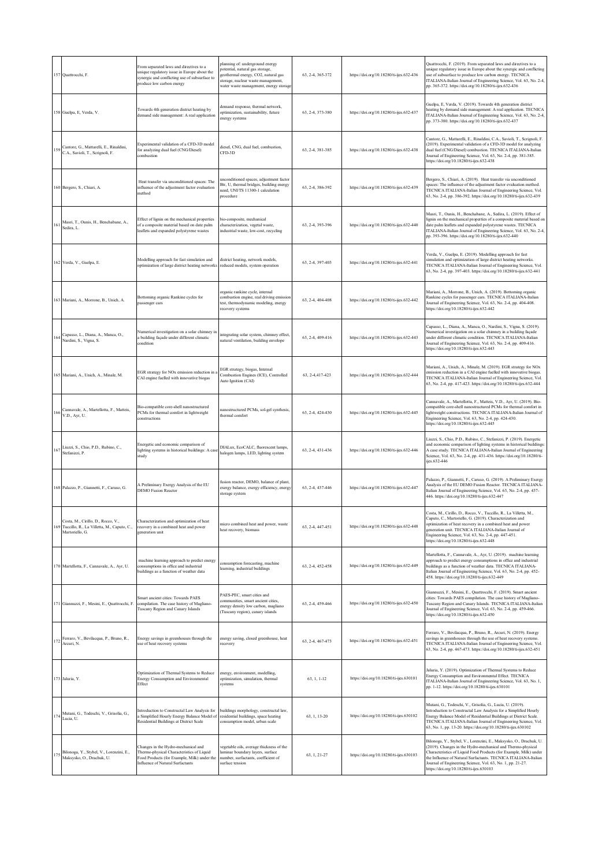|     | 157 Quattrocchi, F.                                                                                 | From separated laws and directives to a<br>unique regulatory issue in Europe about the<br>synergic and conflicting use of subsurface to<br>produce low carbon energy       | planning of: underground energy<br>ootential, natural gas storage,<br>geothermal energy, CO2, natural gas<br>storage, nuclear waste management.<br>water waste management, energy storage | 63, 2-4, 365-372 | https://doi.org/10.18280/ti-ijes.632-436 | Quattrocchi, F. (2019). From separated laws and directives to a<br>unique regulatory issue in Europe about the synergic and conflicting<br>ase of subsurface to produce low carbon energy. TECNICA<br>ITALIANA-Italian Journal of Engineering Science, Vol. 63, No. 2-4,<br>pp. 365-372. https://doi.org/10.18280/ti-ijes.632-436                                                 |
|-----|-----------------------------------------------------------------------------------------------------|----------------------------------------------------------------------------------------------------------------------------------------------------------------------------|-------------------------------------------------------------------------------------------------------------------------------------------------------------------------------------------|------------------|------------------------------------------|-----------------------------------------------------------------------------------------------------------------------------------------------------------------------------------------------------------------------------------------------------------------------------------------------------------------------------------------------------------------------------------|
|     | 158 Guelpa, E, Verda, V.                                                                            | Towards 4th generation district heating by<br>demand side management: A real application                                                                                   | lemand response, thermal network,<br>optimization, sustainability, future<br>energy systems                                                                                               | 63, 2-4, 373-380 | https://doi.org/10.18280/ti-ijes.632-437 | Guelpa, E, Verda, V. (2019). Towards 4th generation district<br>heating by demand side management: A real application. TECNICA<br>ITALIANA-Italian Journal of Engineering Science, Vol. 63, No. 2-4,<br>pp. 373-380. https://doi.org/10.18280/ti-ijes.632-437                                                                                                                     |
| 159 | Cantore, G., Mattarelli, E., Rinaldini,<br>C.A., Savioli, T., Scrignoli, F.                         | Experimental validation of a CFD-3D model<br>for analyzing dual fuel (CNG/Diesel)<br>combustion                                                                            | liesel, CNG, dual fuel, combustion,<br>CFD-3D                                                                                                                                             | 63, 2-4, 381-385 | https://doi.org/10.18280/ti-ijes.632-438 | Cantore, G., Mattarelli, E., Rinaldini, C.A., Savioli, T., Scrignoli, F.<br>(2019). Experimental validation of a CFD-3D model for analyzing<br>dual fuel (CNG/Diesel) combustion. TECNICA ITALIANA-Italian<br>Journal of Engineering Science, Vol. 63, No. 2-4, pp. 381-385.<br>https://doi.org/10.18280/ti-ijes.632-438                                                          |
|     | 160 Bergero, S., Chiari, A.                                                                         | Heat transfer via unconditioned spaces: The<br>influence of the adjustment factor evaluation<br>method                                                                     | inconditioned spaces, adjustment factor<br>Btr, U, thermal bridges, building energy<br>need, UNI/TS 11300-1 calculation<br>procedure                                                      | 63, 2-4, 386-392 | https://doi.org/10.18280/ti-ijes.632-439 | Bergero, S., Chiari, A. (2019). Heat transfer via unconditioned<br>spaces: The influence of the adjustment factor evaluation method.<br>TECNICA ITALIANA-Italian Journal of Engineering Science, Vol.<br>63, No. 2-4, pp. 386-392. https://doi.org/10.18280/ti-ijes.632-439                                                                                                       |
| 161 | Masri, T., Ounis, H., Benchabane, A.,<br>Sedira, L.                                                 | Effect of lignin on the mechanical properties<br>of a composite material based on date palm<br>leaflets and expanded polystyrene wastes                                    | pio-composite, mechanical<br>characterization, vegetal waste.<br>industrial waste, low-cost, recycling                                                                                    | 63, 2-4, 393-396 | https://doi.org/10.18280/ti-ijes.632-440 | Masri, T., Ounis, H., Benchabane, A., Sedira, L. (2019). Effect of<br>lignin on the mechanical properties of a composite material based on<br>date palm leaflets and expanded polystyrene wastes. TECNICA<br>ITALIANA-Italian Journal of Engineering Science, Vol. 63, No. 2-4,<br>pp. 393-396. https://doi.org/10.18280/ti-ijes.632-440                                          |
|     | 162 Verda, V., Guelpa, E.                                                                           | Modelling approach for fast simulation and<br>optimization of large district heating networks                                                                              | listrict heating, network models,<br>reduced models, system operation                                                                                                                     | 63, 2-4, 397-403 | https://doi.org/10.18280/ti-ijes.632-441 | Verda, V., Guelpa, E. (2019). Modelling approach for fast<br>imulation and optimization of large district heating networks.<br>TECNICA ITALIANA-Italian Journal of Engineering Science, Vol.<br>63, No. 2-4, pp. 397-403. https://doi.org/10.18280/ti-ijes.632-441                                                                                                                |
|     | 163 Mariani, A., Morrone, B., Unich, A.                                                             | Bottoming organic Rankine cycles for<br>bassenger cars                                                                                                                     | organic rankine cycle, internal<br>combustion engine, real driving emission<br>est, thermodynamic modeling, energy<br>recovery systems                                                    | 63, 2-4, 404-408 | https://doi.org/10.18280/ti-ijes.632-442 | Mariani, A., Morrone, B., Unich, A. (2019). Bottoming organic<br>Rankine cycles for passenger cars. TECNICA ITALIANA-Italian<br>lournal of Engineering Science, Vol. 63, No. 2-4, pp. 404-408.<br>https://doi.org/10.18280/ti-ijes.632-442                                                                                                                                        |
|     | Capasso, L., Diana, A., Manca, O.,<br>Nardini, S., Vigna, S.                                        | Numerical investigation on a solar chimney in<br>a building façade under different climatic<br>ondition                                                                    | ntegrating solar system, chimney effect,<br>natural ventilation, building envelope                                                                                                        | 63, 2-4, 409-416 | https://doi.org/10.18280/ti-ijes.632-443 | Capasso, L., Diana, A., Manca, O., Nardini, S., Vigna, S. (2019).<br>Numerical investigation on a solar chimney in a building façade<br>under different climatic condition. TECNICA ITALIANA-Italian<br>lournal of Engineering Science, Vol. 63, No. 2-4, pp. 409-416.<br>https://doi.org/10.18280/ti-ijes.632-443                                                                |
|     | 165 Mariani, A., Unich, A., Minale, M.                                                              | EGR strategy for NOx emission reduction in<br>CAI engine fuelled with innovative biogas                                                                                    | EGR strategy, biogas, Internal<br>Combustion Engines (ICE), Controlled<br>Auto Ignition (CAI)                                                                                             | 63, 2-4, 417-423 | https://doi.org/10.18280/ti-ijes.632-444 | Mariani, A., Unich, A., Minale, M. (2019). EGR strategy for NOx<br>emission reduction in a CAI engine fuelled with innovative biogas.<br>TECNICA ITALIANA-Italian Journal of Engineering Science, Vol.<br>63, No. 2-4, pp. 417-423. https://doi.org/10.18280/ti-ijes.632-444                                                                                                      |
|     | Cannavale, A., Martellotta, F., Matteis,<br>V.D., Ayr, U.                                           | Bio-compatible core-shell nanostructured<br>PCMs for thermal comfort in lightweight<br>constructions                                                                       | nanostructured PCMs, sol-gel synthesis,<br>thermal comfort                                                                                                                                | 63, 2-4, 424-430 | https://doi.org/10.18280/ti-ijes.632-445 | Cannavale, A., Martellotta, F., Matteis, V.D., Ayr, U. (2019). Bio-<br>ompatible core-shell nanostructured PCMs for thermal comfort in<br>lightweight constructions. TECNICA ITALIANA-Italian Journal of<br>Engineering Science, Vol. 63, No. 2-4, pp. 424-430.<br>https://doi.org/10.18280/ti-ijes.632-445                                                                       |
| 167 | Liuzzi, S., Chio, P.D., Rubino, C.,<br>Stefanizzi, P.                                               | Energetic and economic comparison of<br>lighting systems in historical buildings: A case<br>study                                                                          | DIALux, EcoCALC, fluorescent lamps,<br>halogen lamps, LED, lighting system                                                                                                                | 63, 2-4, 431-436 | https://doi.org/10.18280/ti-ijes.632-446 | Liuzzi, S., Chio, P.D., Rubino, C., Stefanizzi, P. (2019). Energetic<br>and economic comparison of lighting systems in historical buildings<br>A case study. TECNICA ITALIANA-Italian Journal of Engineering<br>Science, Vol. 63, No. 2-4, pp. 431-436. https://doi.org/10.18280/ti-<br>ijes.632-446                                                                              |
|     | 168 Palazzo, P., Giannetti, F., Caruso, G.                                                          | A Preliminary Exergy Analysis of the EU<br><b>DEMO Fusion Reactor</b>                                                                                                      | fusion reactor, DEMO, balance of plant,<br>exergy balance, exergy efficiency, energy<br>storage system                                                                                    | 63, 2-4, 437-446 | https://doi.org/10.18280/ti-ijes.632-447 | Palazzo, P., Giannetti, F., Caruso, G. (2019). A Preliminary Exergy<br>Analysis of the EU DEMO Fusion Reactor. TECNICA ITALIANA-<br>Italian Journal of Engineering Science, Vol. 63, No. 2-4, pp. 437-<br>446. https://doi.org/10.18280/ti-ijes.632-447                                                                                                                           |
| 169 | Costa, M., Cirillo, D., Rocco, V.,<br>Tuccillo, R., La Villetta, M., Caputo, C.,<br>Martoriello, G. | Characterization and optimization of heat<br>recovery in a combined heat and power<br>generation unit                                                                      | micro combined heat and power, waste<br>heat recovery, biomass                                                                                                                            | 63, 2-4, 447-451 | https://doi.org/10.18280/ti-ijes.632-448 | Costa, M., Cirillo, D., Rocco, V., Tuccillo, R., La Villetta, M.,<br>Caputo, C., Martoriello, G. (2019). Characterization and<br>optimization of heat recovery in a combined heat and power<br>generation unit. TECNICA ITALIANA-Italian Journal of<br>Engineering Science, Vol. 63, No. 2-4, pp. 447-451.<br>https://doi.org/10.18280/ti-ijes.632-448                            |
|     | 170 Martellotta, F., Cannavale, A., Ayr, U.                                                         | machine learning approach to predict energy<br>consumptions in office and industrial<br>buildings as a function of weather data                                            | onsumption forecasting, machine<br>earning, industrial buildings                                                                                                                          | 63, 2-4, 452-458 | https://doi.org/10.18280/ti-ijes.632-449 | Martellotta, F., Cannavale, A., Ayr, U. (2019). machine learning<br>approach to predict energy consumptions in office and industrial<br>buildings as a function of weather data. TECNICA ITALIANA-<br>Italian Journal of Engineering Science, Vol. 63, No. 2-4, pp. 452-<br>458. https://doi.org/10.18280/ti-ijes.632-449                                                         |
|     | 171 Giannuzzi, F., Mesini, E., Quattrocchi, F.                                                      | Smart ancient cities: Towards PAES<br>compilation. The case history of Magliano-<br>Tuscany Region and Canary Islands                                                      | PAES-PEC, smart cities and<br>communities, smart ancient cities,<br>energy density low carbon, magliano<br>(Tuscany region), canary islands                                               | 63, 2-4, 459-466 | https://doi.org/10.18280/ti-ijes.632-450 | Giannuzzi, F., Mesini, E., Ouattrocchi, F. (2019). Smart ancient<br>cities: Towards PAES compilation. The case history of Magliano-<br>Tuscany Region and Canary Islands. TECNICA ITALIANA-Italian<br>lournal of Engineering Science, Vol. 63, No. 2-4, pp. 459-466.<br>https://doi.org/10.18280/ti-ijes.632-450                                                                  |
| 172 | Ferraro, V., Bevilacqua, P., Bruno, R.,<br>Arcuri, N.                                               | Energy savings in greenhouses through the<br>use of heat recovery systems                                                                                                  | energy saving, closed greenhouse, heat<br>recovery                                                                                                                                        | 63, 2-4, 467-473 | https://doi.org/10.18280/ti-ijes.632-451 | Ferraro, V., Bevilacqua, P., Bruno, R., Arcuri, N. (2019). Energy<br>savings in greenhouses through the use of heat recovery systems.<br>TECNICA ITALIANA-Italian Journal of Engineering Science, Vol.<br>63, No. 2-4, pp. 467-473. https://doi.org/10.18280/ti-ijes.632-451                                                                                                      |
|     | 173 Jaluria, Y.                                                                                     | Optimization of Thermal Systems to Reduce<br>Energy Consumption and Environmental<br>Effect                                                                                | energy, environment, modelling,<br>optimization, simulation, thermal<br>systems                                                                                                           | 63, 1, 1-12      | https://doi.org/10.18280/ti-ijes.630101  | Jaluria, Y. (2019). Optimization of Thermal Systems to Reduce<br>Energy Consumption and Environmental Effect. TECNICA<br>ITALIANA-Italian Journal of Engineering Science, Vol. 63, No. 1,<br>pp. 1-12. https://doi.org/10.18280/ti-ijes.630101                                                                                                                                    |
| 174 | Mutani, G., Todeschi, V., Grisolia, G.,<br>Lucia, U.                                                | Introduction to Constructal Law Analysis for<br>a Simplified Hourly Energy Balance Model of<br>Residential Buildings at District Scale                                     | puildings morphology, constructal law,<br>residential buildings, space heating<br>consumption model, urban scale                                                                          | 63, 1, 13-20     | https://doi.org/10.18280/ti-ijes.630102  | Mutani, G., Todeschi, V., Grisolia, G., Lucia, U. (2019).<br>Introduction to Constructal Law Analysis for a Simplified Hourly<br>Energy Balance Model of Residential Buildings at District Scale.<br>TECNICA ITALIANA-Italian Journal of Engineering Science, Vol.<br>63, No. 1, pp. 13-20. https://doi.org/10.18280/ti-ijes.630102                                               |
|     | Bilonoga, Y., Stybel, V., Lorenzini, E.,<br>Maksysko, O., Drachuk, U.                               | Changes in the Hydro-mechanical and<br>Thermo-physical Characteristics of Liquid<br>Food Products (for Example, Milk) under the<br><b>Influence of Natural Surfactants</b> | vegetable oils, average thickness of the<br>laminar boundary layers, surface<br>number, surfactants, coefficient of<br>surface tension                                                    | 63, 1, 21-27     | https://doi.org/10.18280/ti-ijes.630103  | Bilonoga, Y., Stybel, V., Lorenzini, E., Maksysko, O., Drachuk, U.<br>(2019). Changes in the Hydro-mechanical and Thermo-physical<br>Characteristics of Liquid Food Products (for Example, Milk) under<br>the Influence of Natural Surfactants. TECNICA ITALIANA-Italian<br>Journal of Engineering Science, Vol. 63, No. 1, pp. 21-27.<br>https://doi.org/10.18280/ti-ijes.630103 |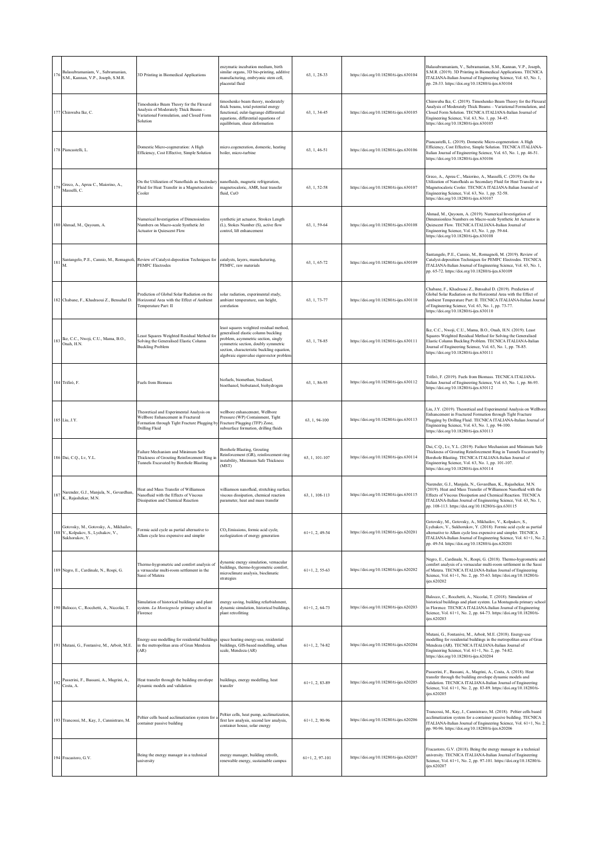| 176 | Balasubramaniam, V., Subramanian,<br>S.M., Kannan, V.P., Joseph, S.M.R.                         | 3D Printing in Biomedical Applications                                                                                                         | enzymatic incubation medium, birth<br>similar organs, 3D bio-printing, additive<br>nanufacturing, embryonic stem cell,<br>placental fluid                                                                                                             | 63, 1, 28-33      | https://doi.org/10.18280/ti-ijes.630104 | Balasubramaniam, V., Subramanian, S.M., Kannan, V.P., Joseph,<br>S.M.R. (2019). 3D Printing in Biomedical Applications. TECNICA<br>ITALIANA-Italian Journal of Engineering Science, Vol. 63, No. 1,<br>pp. 28-33. https://doi.org/10.18280/ti-ijes.630104                                                                    |
|-----|-------------------------------------------------------------------------------------------------|------------------------------------------------------------------------------------------------------------------------------------------------|-------------------------------------------------------------------------------------------------------------------------------------------------------------------------------------------------------------------------------------------------------|-------------------|-----------------------------------------|------------------------------------------------------------------------------------------------------------------------------------------------------------------------------------------------------------------------------------------------------------------------------------------------------------------------------|
|     | 177 Chinwuba Ike, C.                                                                            | Timoshenko Beam Theory for the Flexural<br>Analysis of Moderately Thick Beams -<br>Variational Formulation, and Closed Form<br>Solution        | imoshenko beam theory, moderately<br>hick beams, total potential energy<br>functional, culer-lagrange differential<br>quations, differential equations of<br>equilibrium, shear deformation                                                           | 63, 1, 34-45      | https://doi.org/10.18280/ti-ijes.630105 | Chinwuba Ike, C. (2019). Timoshenko Beam Theory for the Flexural<br>Analysis of Moderately Thick Beams - Variational Formulation, and<br>Closed Form Solution. TECNICA ITALIANA-Italian Journal of<br>Engineering Science, Vol. 63, No. 1, pp. 34-45.<br>https://doi.org/10.18280/ti-ijes.630105                             |
|     | 178 Piancastelli, L.                                                                            | Domestic Micro-cogeneration: A High<br>Efficiency, Cost Effective, Simple Solution                                                             | nicro.cogeneration, domestic, heating<br>boiler, micro-turbine                                                                                                                                                                                        | 63, 1, 46-51      | https://doi.org/10.18280/ti-ijes.630106 | Piancastelli, L. (2019). Domestic Micro-cogeneration: A High<br>Efficiency, Cost Effective, Simple Solution. TECNICA ITALIANA-<br>Italian Journal of Engineering Science, Vol. 63, No. 1, pp. 46-51.<br>https://doi.org/10.18280/ti-ijes.630106                                                                              |
| 179 | Greco, A., Aprea C., Maiorino, A.,<br>Masselli, C.                                              | On the Utilization of Nanofluids as Secondary<br>Fluid for Heat Transfer in a Magnetocaloric<br>Cooler                                         | nanofluids, magnetic refrigeration,<br>nagnetocaloric, AMR, heat transfer<br>fluid, CuO                                                                                                                                                               | 63, 1, 52-58      | https://doi.org/10.18280/ti-ijes.630107 | Greco, A., Aprea C., Maiorino, A., Masselli, C. (2019). On the<br>Utilization of Nanofluids as Secondary Fluid for Heat Transfer in a<br>Magnetocaloric Cooler. TECNICA ITALIANA-Italian Journal of<br>Engineering Science, Vol. 63, No. 1, pp. 52-58.<br>https://doi.org/10.18280/ti-ijes.630107                            |
|     | 180 Ahmad, M., Qayoum, A.                                                                       | Numerical Investigation of Dimensionless<br>Numbers on Macro-scale Synthetic Jet<br>Actuator in Quiescent Flow                                 | synthetic jet actuator, Strokes Length<br>(L), Stokes Number (S), active flow<br>control, lift enhancement                                                                                                                                            | 63, 1, 59-64      | https://doi.org/10.18280/ti-ijes.630108 | Ahmad, M., Qayoum, A. (2019). Numerical Investigation of<br>Dimensionless Numbers on Macro-scale Synthetic Jet Actuator in<br>Quiescent Flow. TECNICA ITALIANA-Italian Journal of<br>Engineering Science, Vol. 63, No. 1, pp. 59-64.<br>https://doi.org/10.18280/ti-ijes.630108                                              |
| 181 |                                                                                                 | Santangelo, P.E., Cannio, M., Romagnoli, Review of Catalyst-deposition Techniques for<br><b>PEMFC</b> Electrodes                               | catalysts, layers, manufacturing,<br>PEMFC, raw materials                                                                                                                                                                                             | 63.1.65-72        | https://doi.org/10.18280/ti-ijes.630109 | Santangelo, P.E., Cannio, M., Romagnoli, M. (2019). Review of<br>Catalyst-deposition Techniques for PEMFC Electrodes. TECNICA<br>ITALIANA-Italian Journal of Engineering Science, Vol. 63, No. 1,<br>pp. 65-72. https://doi.org/10.18280/ti-ijes.630109                                                                      |
|     | 182 Chabane, F., Khadraoui Z., Bensahal D.                                                      | Prediction of Global Solar Radiation on the<br>Horizontal Area with the Effect of Ambient<br>Temperature Part: II                              | solar radiation, experimental study,<br>ambient temperature, sun height,<br>correlation                                                                                                                                                               | 63, 1, 73-77      | https://doi.org/10.18280/ti-ijes.630110 | Chabane, F., Khadraoui Z., Bensahal D. (2019). Prediction of<br>Global Solar Radiation on the Horizontal Area with the Effect of<br>Ambient Temperature Part: II. TECNICA ITALIANA-Italian Journal<br>of Engineering Science, Vol. 63, No. 1, pp. 73-77.<br>https://doi.org/10.18280/ti-ijes.630110                          |
| 183 | Ike, C.C., Nwoji, C.U., Mama, B.O.,<br>Onah, H.N.                                               | cast Squares Weighted Residual Method for<br>Solving the Generalised Elastic Column<br><b>Buckling Problem</b>                                 | least squares weighted residual method,<br>generalised elastic column buckling<br>problem, asymmetric section, singly<br>symmetric section, doubly symmetric<br>section, characteristic buckling equation<br>algebraic eigenvalue eigenvector problen | 63, 1, 78-85      | https://doi.org/10.18280/ti-ijes.630111 | Ike, C.C., Nwoji, C.U., Mama, B.O., Onah, H.N. (2019). Least<br>Squares Weighted Residual Method for Solving the Generalised<br>Elastic Column Buckling Problem. TECNICA ITALIANA-Italian<br>lournal of Engineering Science, Vol. 63, No. 1, pp. 78-85.<br>https://doi.org/10.18280/ti-ijes.630111                           |
|     | 184 Trifirò, F.                                                                                 | <b>Fuels from Biomass</b>                                                                                                                      | biofuels, biomethan, biodiesel,<br>bioethanol, biobutanol, biohydrogen                                                                                                                                                                                | 63, 1, 86-93      | https://doi.org/10.18280/ti-ijes.630112 | Trifirò, F. (2019). Fuels from Biomass. TECNICA ITALIANA-<br>Italian Journal of Engineering Science, Vol. 63, No. 1, pp. 86-93.<br>https://doi.org/10.18280/ti-ijes.630112                                                                                                                                                   |
|     | 185 Liu, J.Y.                                                                                   | Theoretical and Experimental Analysis on<br>Wellbore Enhancement in Fractured<br>Formation through Tight Fracture Plugging b<br>Drilling Fluid | wellbore enhancement, Wellbore<br>Pressure (WP) Containment, Tight<br>Fracture Plugging (TFP) Zone,<br>subsurface formation, drilling fluids                                                                                                          | 63, 1, 94-100     | https://doi.org/10.18280/ti-ijes.630113 | Liu, J.Y. (2019). Theoretical and Experimental Analysis on Wellbore<br>Enhancement in Fractured Formation through Tight Fracture<br>Plugging by Drilling Fluid. TECNICA ITALIANA-Italian Journal of<br>Engineering Science, Vol. 63, No. 1, pp. 94-100.<br>https://doi.org/10.18280/ti-ijes.630113                           |
|     | 186 Dai, C.Q., Lv, Y.L.                                                                         | Failure Mechanism and Minimum Safe<br>Thickness of Grouting Reinforcement Ring in<br>Tunnels Excavated by Borehole Blasting                    | Borehole Blasting, Grouting<br>Reinforcement (GR), reinforcement ring<br>nstability, Minimum Safe Thickness<br>(MST)                                                                                                                                  | 63, 1, 101-107    | https://doi.org/10.18280/ti-ijes.630114 | Dai, C.Q., Lv, Y.L. (2019). Failure Mechanism and Minimum Safe<br>Thickness of Grouting Reinforcement Ring in Tunnels Excavated by<br>Borehole Blasting. TECNICA ITALIANA-Italian Journal of<br>Engineering Science, Vol. 63, No. 1, pp. 101-107.<br>https://doi.org/10.18280/ti-ijes.630114                                 |
| 187 | Narender, G.J., Manjula, N., Govardhan,<br>K., Rajashekar, M.N.                                 | Heat and Mass Transfer of Williamson<br>Nanofluid with the Effects of Viscous<br>Dissipation and Chemical Reaction                             | villiamson nanofluid, stretching surface,<br>viscous dissipation, chemical reaction<br>parameter, heat and mass transfer                                                                                                                              | 63, 1, 108-113    | https://doi.org/10.18280/ti-ijes.630115 | Narender, G.J., Manjula, N., Govardhan, K., Rajashekar, M.N.<br>(2019). Heat and Mass Transfer of Williamson Nanofluid with the<br>Effects of Viscous Dissipation and Chemical Reaction. TECNICA<br>ITALIANA-Italian Journal of Engineering Science, Vol. 63, No. 1,<br>pp. 108-113. https://doi.org/10.18280/ti-ijes.630115 |
|     | Gotovsky, M., Gotovsky, A., Mikhailov,<br>188 V., Kolpakov, S., Lychakov, V.,<br>Sukhorukov, Y. | Formic acid cycle as partial alternative to<br>Allam cycle less expensive and simpler                                                          | CO <sub>2</sub> Emissions, formic acid cycle,<br>ecologization of energy generation                                                                                                                                                                   | $61+1, 2, 49-54$  | https://doi.org/10.18280/ti-ijes.620201 | Gotovsky, M., Gotovsky, A., Mikhailov, V., Kolpakov, S.,<br>Lychakov, V., Sukhorukov, Y. (2018). Formic acid cycle as partial<br>alternative to Allam cycle less expensive and simpler. TECNICA<br>ITALIANA-Italian Journal of Engineering Science, Vol. 61+1, No. 2,<br>pp. 49-54. https://doi.org/10.18280/ti-ijes.620201  |
|     | 189 Negro, E., Cardinale, N., Rospi, G.                                                         | Thermo-hygrometric and comfort analysis of<br>a vernacular multi-room settlement in the<br>Sassi of Matera                                     | dynamic energy simulation, vernacular<br>buildings, thermo-hygrometric comfort,<br>microclimate analysis, bioclimatic<br>strategies                                                                                                                   | $61+1, 2, 55-63$  | https://doi.org/10.18280/ti-ijes.620202 | Vegro, E., Cardinale, N., Rospi, G. (2018). Thermo-hygrometric and<br>comfort analysis of a vernacular multi-room settlement in the Sassi<br>of Matera. TECNICA ITALIANA-Italian Journal of Engineering<br>Science, Vol. 61+1, No. 2, pp. 55-63. https://doi.org/10.18280/ti-<br>ijes.620202                                 |
|     | 190 Balocco, C., Rocchetti, A., Niccolai, T.                                                    | Simulation of historical buildings and plant<br>system. La Montagnola primary school in<br>Florence                                            | energy saving, building refurbishment,<br>dynamic simulation, historical buildings,<br>plant retrofitting                                                                                                                                             | $61+1, 2, 64-73$  | https://doi.org/10.18280/ti-ijes.620203 | Balocco, C., Rocchetti, A., Niccolai, T. (2018). Simulation of<br>historical buildings and plant system. La Montagnola primary school<br>in Florence. TECNICA ITALIANA-Italian Journal of Engineering<br>Science, Vol. 61+1, No. 2, pp. 64-73. https://doi.org/10.18280/ti-<br>ijes.620203                                   |
|     | 191 Mutani, G., Fontanive, M., Arboit, M.E.                                                     | Energy-use modelling for residential buildings<br>in the metropolitan area of Gran Mendoza<br>(AR)                                             | space heating energy-use, residential<br>buildings, GIS-based modelling, urban<br>scale, Mendoza (AR)                                                                                                                                                 | $61+1, 2, 74-82$  | https://doi.org/10.18280/ti-ijes.620204 | Mutani, G., Fontanive, M., Arboit, M.E. (2018). Energy-use<br>modelling for residential buildings in the metropolitan area of Gran<br>Mendoza (AR). TECNICA ITALIANA-Italian Journal of<br>Engineering Science, Vol. 61+1, No. 2, pp. 74-82.<br>https://doi.org/10.18280/ti-ijes.620204                                      |
| 192 | Passerini, F., Bassani, A., Magrini, A.,<br>Costa, A.                                           | Heat transfer through the building envelope<br>dynamic models and validation                                                                   | puildings, energy modelling, heat<br>ransfer                                                                                                                                                                                                          | $61+1, 2, 83-89$  | https://doi.org/10.18280/ti-ijes.620205 | Passerini, F., Bassani, A., Magrini, A., Costa, A. (2018). Heat<br>transfer through the building envelope dynamic models and<br>validation. TECNICA ITALIANA-Italian Journal of Engineering<br>Science, Vol. 61+1, No. 2, pp. 83-89. https://doi.org/10.18280/ti-<br>jes.620205                                              |
|     | 193 Trancossi, M., Kay, J., Cannistraro, M.                                                     | Peltier cells based acclimatization system for a<br>container passive building                                                                 | Peltier cells, heat pump, acclimatization,<br>first law analysis, second law analysis,<br>container house, solar energy                                                                                                                               | $61+1, 2, 90-96$  | https://doi.org/10.18280/ti-ijes.620206 | Trancossi, M., Kay, J., Cannistraro, M. (2018). Peltier cells based<br>acclimatization system for a container passive building. TECNICA<br>ITALIANA-Italian Journal of Engineering Science, Vol. 61+1, No. 2,<br>pp. 90-96. https://doi.org/10.18280/ti-ijes.620206                                                          |
|     | 194 Fracastoro, G.V.                                                                            | Being the energy manager in a technical<br>university                                                                                          | energy manager, building retrofit,<br>renewable energy, sustainable campus                                                                                                                                                                            | $61+1, 2, 97-101$ | https://doi.org/10.18280/ti-ijes.620207 | Fracastoro, G.V. (2018). Being the energy manager in a technical<br>university. TECNICA ITALIANA-Italian Journal of Engineering<br>Science, Vol. 61+1, No. 2, pp. 97-101. https://doi.org/10.18280/ti-<br>jes.620207                                                                                                         |